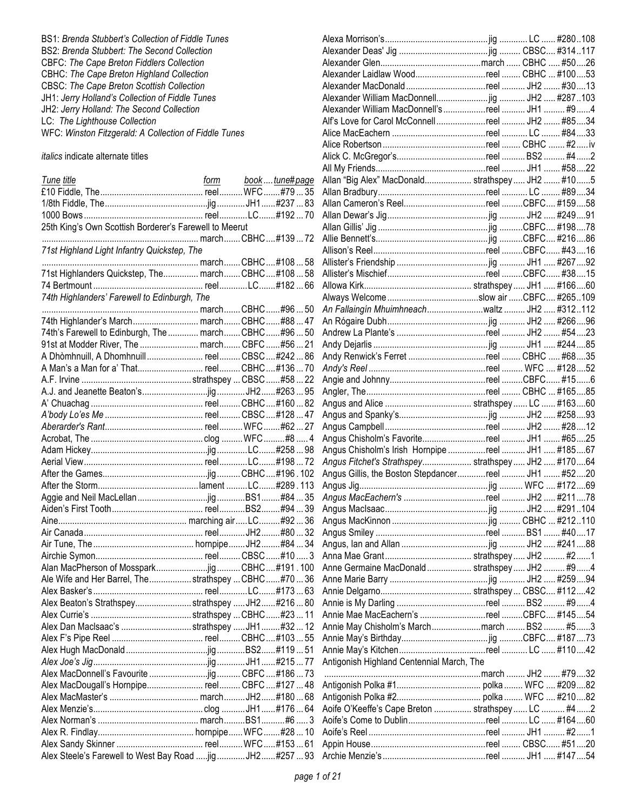BS1: *Brenda Stubbert's Collection of Fiddle Tunes* BS2: *Brenda Stubbert: The Second Collection* CBFC: *The Cape Breton Fiddlers Collection* CBHC: *The Cape Breton Highland Collection* CBSC: *The Cape Breton Scottish Collection* JH1: *Jerry Holland's Collection of Fiddle Tunes* JH2: *Jerry Holland: The Second Collection* LC: *The Lighthouse Collection* WFC: *Winston Fitzgerald: A Collection of Fiddle Tunes*

## *italics* indicate alternate titles

| 25th King's Own Scottish Borderer's Farewell to Meerut     |  |  |
|------------------------------------------------------------|--|--|
|                                                            |  |  |
| 71st Highland Light Infantry Quickstep, The                |  |  |
|                                                            |  |  |
| 71st Highlanders Quickstep, The march CBHC#108 58          |  |  |
|                                                            |  |  |
| 74th Highlanders' Farewell to Edinburgh, The               |  |  |
|                                                            |  |  |
| 74th Highlander's March march CBHC#8847                    |  |  |
| 74th's Farewell to Edinburgh, The  march CBHC  #96  50     |  |  |
| 91st at Modder River, The  march CBFC #56  21              |  |  |
| A Dhòmhnuill, A Dhomhnuill  reel  CBSC #242  86            |  |  |
| A Man's a Man for a' That reel CBHC#13670                  |  |  |
|                                                            |  |  |
|                                                            |  |  |
|                                                            |  |  |
|                                                            |  |  |
|                                                            |  |  |
|                                                            |  |  |
|                                                            |  |  |
|                                                            |  |  |
|                                                            |  |  |
|                                                            |  |  |
|                                                            |  |  |
|                                                            |  |  |
|                                                            |  |  |
|                                                            |  |  |
|                                                            |  |  |
|                                                            |  |  |
|                                                            |  |  |
|                                                            |  |  |
| Ale Wife and Her Barrel, The strathspey  CBHC #70  36      |  |  |
|                                                            |  |  |
| Alex Beaton's Strathspeystrathspey  JH2#21680              |  |  |
|                                                            |  |  |
| Alex Dan MacIsaac's strathspey  JH1 #32  12                |  |  |
|                                                            |  |  |
|                                                            |  |  |
|                                                            |  |  |
|                                                            |  |  |
| Alex MacDougall's Hornpipe reel CBFC #127  48              |  |  |
|                                                            |  |  |
|                                                            |  |  |
|                                                            |  |  |
|                                                            |  |  |
|                                                            |  |  |
|                                                            |  |  |
| Alex Steele's Farewell to West Bay Road  jig  JH2 #257  93 |  |  |

| Alexander Laidlaw Woodreel  CBHC  #10053            |  |  |
|-----------------------------------------------------|--|--|
|                                                     |  |  |
|                                                     |  |  |
| Alexander William MacDonnell's reel  JH1  #9 4      |  |  |
| Alf's Love for Carol McConnellreel  JH2  #8534      |  |  |
|                                                     |  |  |
|                                                     |  |  |
|                                                     |  |  |
|                                                     |  |  |
| Allan "Big Alex" MacDonald strathspey  JH2  #105    |  |  |
|                                                     |  |  |
| Allan Cameron's Reelreel CBFC #15958                |  |  |
|                                                     |  |  |
|                                                     |  |  |
|                                                     |  |  |
|                                                     |  |  |
|                                                     |  |  |
|                                                     |  |  |
|                                                     |  |  |
|                                                     |  |  |
|                                                     |  |  |
| An Fallaingín Mhuimhneachwaltz JH2  #312112         |  |  |
|                                                     |  |  |
|                                                     |  |  |
|                                                     |  |  |
| Andy Renwick's Ferret reel  CBHC  #6835             |  |  |
|                                                     |  |  |
|                                                     |  |  |
|                                                     |  |  |
|                                                     |  |  |
|                                                     |  |  |
|                                                     |  |  |
|                                                     |  |  |
|                                                     |  |  |
| Angus Chisholm's Irish Hornpipe reel  JH1  #18567   |  |  |
| Angus Fitchet's Strathspey strathspey JH2  #17064   |  |  |
| Angus Gillis, the Boston Stepdancerreel  JH1  #5220 |  |  |
|                                                     |  |  |
| Angus MacEachern's reel  JH2  #21178                |  |  |
|                                                     |  |  |
|                                                     |  |  |
|                                                     |  |  |
|                                                     |  |  |
|                                                     |  |  |
|                                                     |  |  |
| Anne Germaine MacDonald strathspey JH2  #94         |  |  |
|                                                     |  |  |
|                                                     |  |  |
|                                                     |  |  |
| Annie Mae MacEachern's reel CBFC #14554             |  |  |
| Annie May Chisholm's Marchmarch BS2 #53             |  |  |
|                                                     |  |  |
|                                                     |  |  |
| Antigonish Highland Centennial March, The           |  |  |
|                                                     |  |  |
|                                                     |  |  |
|                                                     |  |  |
| Aoife O'Keeffe's Cape Breton  strathspey  LC  #4 2  |  |  |
|                                                     |  |  |
|                                                     |  |  |
|                                                     |  |  |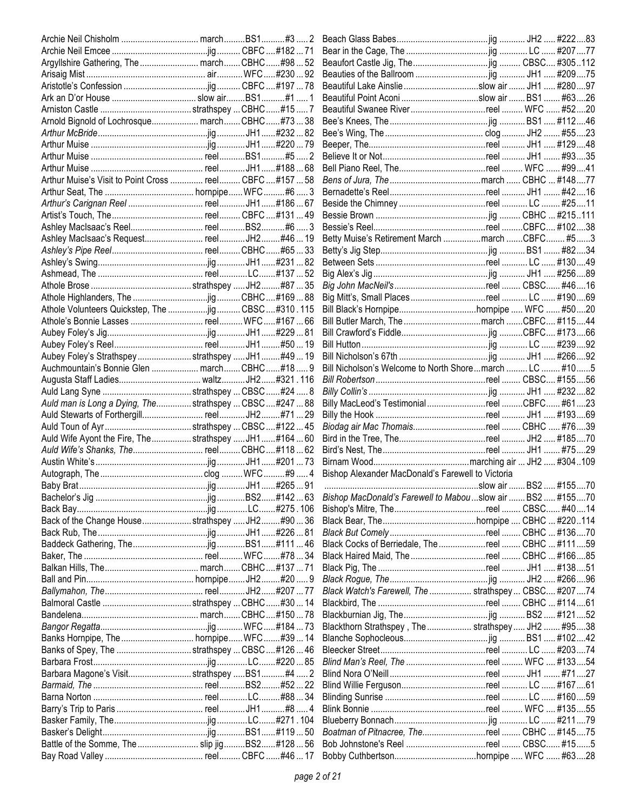| Argyllshire Gathering, The  march CBHC#98  52            |  |                                                            |  |      |
|----------------------------------------------------------|--|------------------------------------------------------------|--|------|
|                                                          |  |                                                            |  |      |
|                                                          |  | Beautiful Lake Ainslie slow air  JH1  #28097               |  |      |
|                                                          |  | Beautiful Point Aconi slow air  BS1  #6326                 |  |      |
|                                                          |  | Beautiful Swanee Riverreel  WFC  #5220                     |  |      |
|                                                          |  |                                                            |  |      |
|                                                          |  |                                                            |  |      |
|                                                          |  |                                                            |  |      |
|                                                          |  |                                                            |  |      |
|                                                          |  | Bell Piano Reel, Thereel  WFC  #9941                       |  |      |
| Arthur Muise's Visit to Point Cross  reel CBFC #157  58  |  |                                                            |  |      |
|                                                          |  |                                                            |  |      |
|                                                          |  |                                                            |  |      |
|                                                          |  |                                                            |  |      |
|                                                          |  |                                                            |  |      |
|                                                          |  | Betty Muise's Retirement March march CBFC #53              |  |      |
|                                                          |  |                                                            |  |      |
|                                                          |  |                                                            |  |      |
|                                                          |  |                                                            |  |      |
|                                                          |  |                                                            |  |      |
|                                                          |  |                                                            |  |      |
| Athole Volunteers Quickstep, The jig  CBSC #310 . 115    |  |                                                            |  |      |
|                                                          |  |                                                            |  |      |
|                                                          |  |                                                            |  |      |
|                                                          |  |                                                            |  |      |
| Aubey Foley's Strathspey strathspey  JH1  #49  19        |  |                                                            |  |      |
|                                                          |  | Bill Nicholson's Welcome to North Shoremarch  LC  #105     |  |      |
|                                                          |  |                                                            |  |      |
|                                                          |  |                                                            |  |      |
| Auld man is Long a Dying, The strathspey  CBSC  #247  88 |  | Billy MacLeod's TestimonialreelCBFC #6123                  |  |      |
|                                                          |  |                                                            |  |      |
|                                                          |  | Biodag air Mac Thomaisreel  CBHC  #7639                    |  |      |
|                                                          |  |                                                            |  |      |
| Auld Wife Ayont the Fire, The  strathspey  JH1  #164  60 |  |                                                            |  |      |
|                                                          |  |                                                            |  |      |
|                                                          |  |                                                            |  |      |
|                                                          |  | Bishop Alexander MacDonald's Farewell to Victoria          |  |      |
|                                                          |  | Bishop MacDonald's Farewell to Mabou slow air  BS2  #15570 |  |      |
|                                                          |  |                                                            |  |      |
|                                                          |  |                                                            |  |      |
| Back of the Change Housestrathspey JH2 #9036             |  |                                                            |  |      |
|                                                          |  |                                                            |  |      |
|                                                          |  | Black Cocks of Berriedale, The reel  CBHC  #11159          |  |      |
|                                                          |  |                                                            |  |      |
|                                                          |  | Black Haired Maid, The reel  CBHC  #16685                  |  |      |
|                                                          |  |                                                            |  |      |
|                                                          |  |                                                            |  |      |
|                                                          |  | Black Watch's Farewell, The  strathspey  CBSC #20774       |  |      |
|                                                          |  |                                                            |  |      |
|                                                          |  |                                                            |  |      |
|                                                          |  | Blackthorn Strathspey, The  strathspey  JH2  #9538         |  |      |
|                                                          |  |                                                            |  |      |
| Banks of Spey, The strathspey  CBSC #126  46             |  |                                                            |  |      |
|                                                          |  | Blind Man's Reel, The reel  WFC  #13354                    |  |      |
| Barbara Magone's Visitstrathspey BS1#4  2                |  |                                                            |  | . 27 |
|                                                          |  |                                                            |  |      |
|                                                          |  |                                                            |  |      |
|                                                          |  |                                                            |  |      |
|                                                          |  |                                                            |  |      |
|                                                          |  |                                                            |  |      |
| Battle of the Somme, The  slip jig  BS2 #128  56         |  | Bob Johnstone's Reel reel  CBSC #155                       |  |      |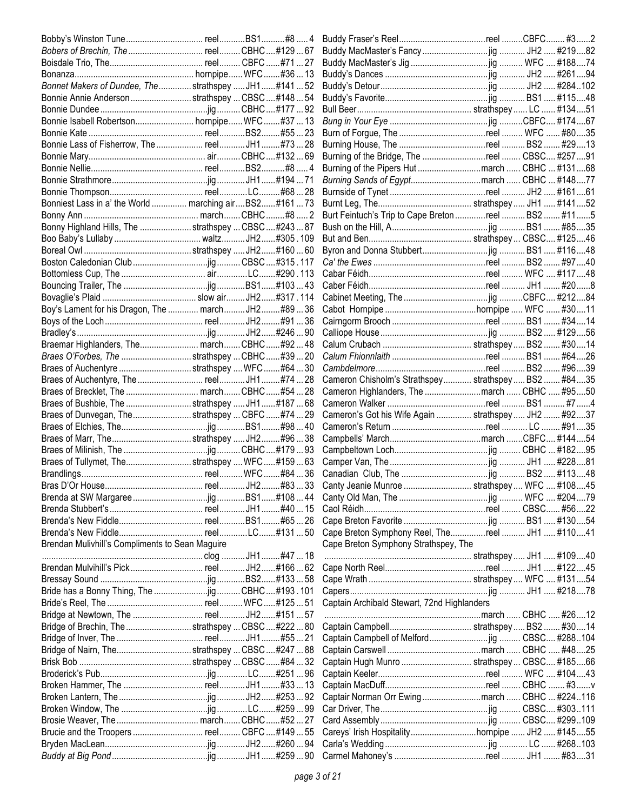| Bobers of Brechin, The  reel CBHC#12967               |  |                                                      |  |  |
|-------------------------------------------------------|--|------------------------------------------------------|--|--|
|                                                       |  |                                                      |  |  |
|                                                       |  |                                                      |  |  |
| Bonnet Makers of Dundee, The strathspey  JH1#14152    |  |                                                      |  |  |
| Bonnie Annie Anderson strathspey  CBSC  #148  54      |  |                                                      |  |  |
|                                                       |  |                                                      |  |  |
|                                                       |  |                                                      |  |  |
|                                                       |  |                                                      |  |  |
|                                                       |  |                                                      |  |  |
|                                                       |  | Burning of the Bridge, The reel  CBSC #25791         |  |  |
|                                                       |  | Burning of the Pipers Hut march  CBHC  #13168        |  |  |
|                                                       |  | Burning Sands of Egyptmarch  CBHC  #14877            |  |  |
|                                                       |  |                                                      |  |  |
| Bonniest Lass in a' the World  marching airBS2#16173  |  |                                                      |  |  |
|                                                       |  | Burt Feintuch's Trip to Cape Breton reel  BS2  #11 5 |  |  |
| Bonny Highland Hills, The  strathspey  CBSC  #243  87 |  |                                                      |  |  |
|                                                       |  |                                                      |  |  |
|                                                       |  |                                                      |  |  |
|                                                       |  |                                                      |  |  |
|                                                       |  |                                                      |  |  |
|                                                       |  |                                                      |  |  |
|                                                       |  |                                                      |  |  |
|                                                       |  |                                                      |  |  |
| Boy's Lament for his Dragon, The  march JH2 #89  36   |  |                                                      |  |  |
|                                                       |  |                                                      |  |  |
|                                                       |  |                                                      |  |  |
| Braemar Highlanders, The march CBHC#9248              |  |                                                      |  |  |
| Braes O'Forbes, The strathspey  CBHC#39  20           |  |                                                      |  |  |
| Braes of Auchentyre strathspey  WFC#64  30            |  |                                                      |  |  |
|                                                       |  | Cameron Chisholm's Strathspey strathspey BS2 #8435   |  |  |
|                                                       |  | Cameron Highlanders, The march  CBHC  #9550          |  |  |
| Braes of Bushbie, The strathspey  JH1#18768           |  |                                                      |  |  |
| Braes of Dunvegan, Thestrathspey  CBFC #74  29        |  | Cameron's Got his Wife Again  strathspey  JH2  #9237 |  |  |
|                                                       |  |                                                      |  |  |
|                                                       |  |                                                      |  |  |
|                                                       |  |                                                      |  |  |
| Braes of Tullymet, Thestrathspey  WFC#15963           |  |                                                      |  |  |
|                                                       |  |                                                      |  |  |
|                                                       |  |                                                      |  |  |
|                                                       |  |                                                      |  |  |
|                                                       |  |                                                      |  |  |
|                                                       |  |                                                      |  |  |
|                                                       |  | Cape Breton Symphony Reel, Thereel  JH1  #11041      |  |  |
| Brendan Mulivhill's Compliments to Sean Maguire       |  | Cape Breton Symphony Strathspey, The                 |  |  |
|                                                       |  |                                                      |  |  |
|                                                       |  |                                                      |  |  |
|                                                       |  |                                                      |  |  |
|                                                       |  |                                                      |  |  |
|                                                       |  | Captain Archibald Stewart, 72nd Highlanders          |  |  |
|                                                       |  |                                                      |  |  |
| Bridge of Brechin, The strathspey  CBSC  #222  80     |  |                                                      |  |  |
|                                                       |  | Captain Campbell of Melfordjig  CBSC #288104         |  |  |
| Bridge of Nairn, Thestrathspey  CBSC  #247  88        |  |                                                      |  |  |
|                                                       |  | Captain Hugh Munro  strathspey  CBSC #18566          |  |  |
|                                                       |  |                                                      |  |  |
|                                                       |  |                                                      |  |  |
|                                                       |  |                                                      |  |  |
|                                                       |  |                                                      |  |  |
|                                                       |  |                                                      |  |  |
|                                                       |  |                                                      |  |  |
|                                                       |  | Careys' Irish Hospitalityhornpipe  JH2  #14555       |  |  |
|                                                       |  |                                                      |  |  |
|                                                       |  |                                                      |  |  |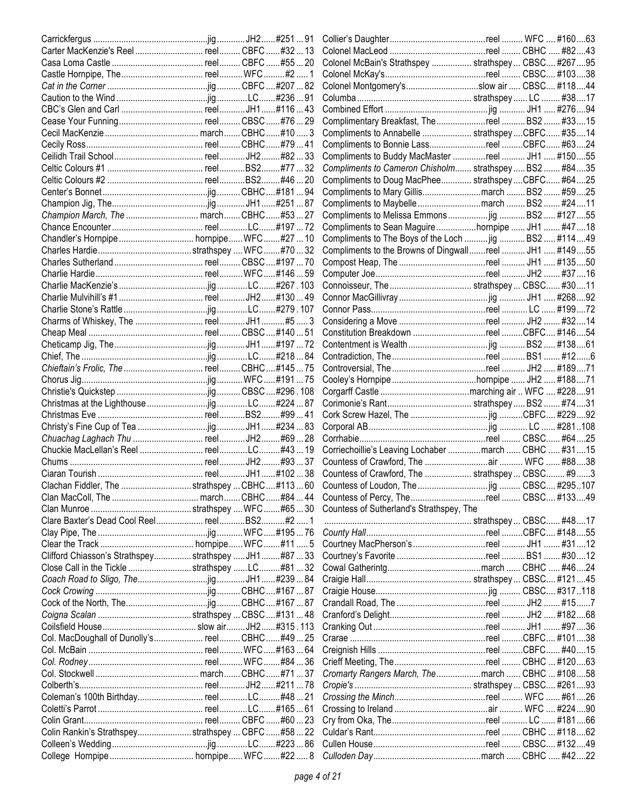| Carter MacKenzie's Reel  reel CBFC #32  13             |  |                                                        |  |  |
|--------------------------------------------------------|--|--------------------------------------------------------|--|--|
|                                                        |  | Colonel McBain's Strathspey  strathspey  CBSC #26795   |  |  |
|                                                        |  |                                                        |  |  |
|                                                        |  | Colonel Montgomery'sslow air  CBSC #11844              |  |  |
|                                                        |  |                                                        |  |  |
|                                                        |  |                                                        |  |  |
|                                                        |  | Complimentary Breakfast, The reel  BS2  #3315          |  |  |
|                                                        |  | Compliments to Annabelle  strathspey CBFC #3514        |  |  |
|                                                        |  | Compliments to Bonnie Lassreel CBFC #6324              |  |  |
|                                                        |  | Compliments to Buddy MacMaster reel  JH1  #15055       |  |  |
|                                                        |  | Compliments to Cameron Chisholm strathspey BS2  #8435  |  |  |
|                                                        |  | Compliments to Doug MacPhee strathspey  CBFC #64 25    |  |  |
|                                                        |  | Compliments to Mary Gillismarch  BS2  #5925            |  |  |
|                                                        |  |                                                        |  |  |
|                                                        |  | Compliments to Maybelle march  BS2  #24  11            |  |  |
| Champion March, The  march CBHC#5327                   |  | Compliments to Melissa Emmons  jig  BS2  #127 55       |  |  |
|                                                        |  | Compliments to Sean Maguire hornpipe  JH1  #47  18     |  |  |
|                                                        |  | Compliments to The Boys of the Loch  jig  BS2  #11449  |  |  |
|                                                        |  | Compliments to the Browns of Dingwallreel  JH1  #14955 |  |  |
|                                                        |  |                                                        |  |  |
|                                                        |  |                                                        |  |  |
|                                                        |  |                                                        |  |  |
|                                                        |  |                                                        |  |  |
|                                                        |  |                                                        |  |  |
|                                                        |  |                                                        |  |  |
|                                                        |  | Constitution Breakdown reel CBFC #14654                |  |  |
|                                                        |  |                                                        |  |  |
|                                                        |  |                                                        |  |  |
|                                                        |  |                                                        |  |  |
|                                                        |  |                                                        |  |  |
|                                                        |  |                                                        |  |  |
|                                                        |  |                                                        |  |  |
|                                                        |  |                                                        |  |  |
|                                                        |  |                                                        |  |  |
|                                                        |  |                                                        |  |  |
|                                                        |  | Corriechoillie's Leaving Lochaber march  CBHC  #3115   |  |  |
|                                                        |  |                                                        |  |  |
|                                                        |  | Countess of Crawford, The  strathspey  CBSC #93        |  |  |
|                                                        |  |                                                        |  |  |
|                                                        |  |                                                        |  |  |
|                                                        |  | Countess of Sutherland's Strathspey, The               |  |  |
|                                                        |  |                                                        |  |  |
|                                                        |  |                                                        |  |  |
|                                                        |  |                                                        |  |  |
| Clifford Chiasson's Strathspey strathspey  JH1 #87  33 |  |                                                        |  |  |
| Close Call in the Tickle strathspey LC#8132            |  |                                                        |  |  |
|                                                        |  |                                                        |  |  |
|                                                        |  |                                                        |  |  |
|                                                        |  |                                                        |  |  |
|                                                        |  |                                                        |  |  |
|                                                        |  |                                                        |  |  |
| Col. MacDoughall of Dunolly's reel CBHC#4925           |  |                                                        |  |  |
|                                                        |  |                                                        |  |  |
|                                                        |  |                                                        |  |  |
|                                                        |  |                                                        |  |  |
|                                                        |  | Cromarty Rangers March, Themarch  CBHC  #10858         |  |  |
|                                                        |  |                                                        |  |  |
|                                                        |  |                                                        |  |  |
|                                                        |  |                                                        |  |  |
|                                                        |  |                                                        |  |  |
| Colin Rankin's Strathspeystrathspey  CBFC #58  22      |  |                                                        |  |  |
|                                                        |  |                                                        |  |  |
|                                                        |  |                                                        |  |  |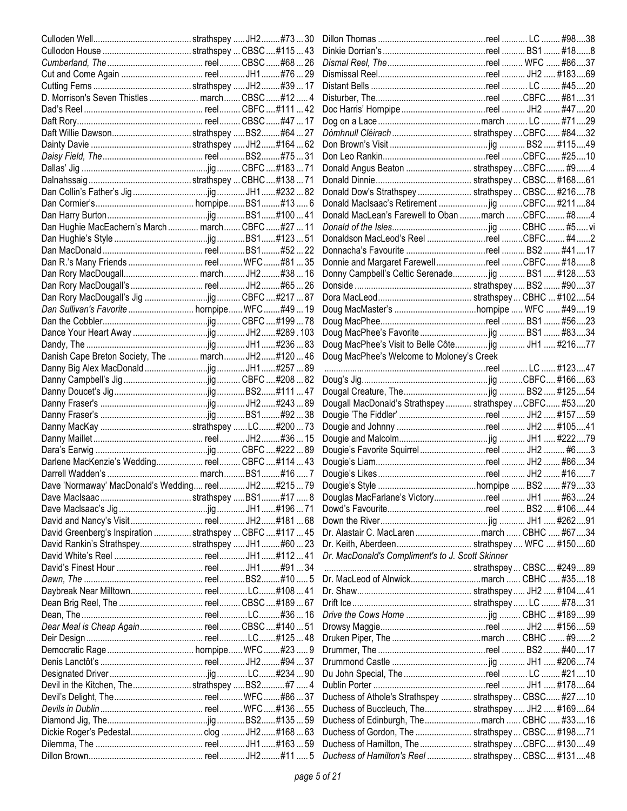|                                                          |  | Donald Angus Beaton  strathspey CBFC #94                |  |  |
|----------------------------------------------------------|--|---------------------------------------------------------|--|--|
|                                                          |  |                                                         |  |  |
|                                                          |  | Donald Dow's Strathspey  strathspey  CBSC #21678        |  |  |
|                                                          |  |                                                         |  |  |
|                                                          |  | Donald MacLean's Farewell to Oban  march  CBFC #84      |  |  |
| Dan Hughie MacEachern's March  march  CBFC #27  11       |  |                                                         |  |  |
|                                                          |  | Donaldson MacLeod's Reel reel CBFC #42                  |  |  |
|                                                          |  |                                                         |  |  |
|                                                          |  | Donnie and Margaret FarewellreelCBFC #188               |  |  |
|                                                          |  | Donny Campbell's Celtic Serenade jig  BS1  #12853       |  |  |
|                                                          |  |                                                         |  |  |
|                                                          |  |                                                         |  |  |
|                                                          |  |                                                         |  |  |
|                                                          |  |                                                         |  |  |
|                                                          |  |                                                         |  |  |
|                                                          |  | Doug MacPhee's Visit to Belle Côte jig  JH1  #21677     |  |  |
| Danish Cape Breton Society, The  march JH2#120  46       |  | Doug MacPhee's Welcome to Moloney's Creek               |  |  |
|                                                          |  |                                                         |  |  |
|                                                          |  |                                                         |  |  |
|                                                          |  |                                                         |  |  |
|                                                          |  |                                                         |  |  |
|                                                          |  | Dougall MacDonald's Strathspey  strathspey  CBFC #5320  |  |  |
|                                                          |  |                                                         |  |  |
|                                                          |  |                                                         |  |  |
|                                                          |  |                                                         |  |  |
|                                                          |  |                                                         |  |  |
| Darlene MacKenzie's Wedding reel CBFC#11443              |  |                                                         |  |  |
|                                                          |  |                                                         |  |  |
| Dave 'Normaway' MacDonald's Wedding reelJH2#21579        |  |                                                         |  |  |
|                                                          |  | Douglas MacFarlane's Victoryreel  JH1  #6324            |  |  |
|                                                          |  |                                                         |  |  |
|                                                          |  |                                                         |  |  |
| David Greenberg's Inspiration  strathspey  CBFC #117  45 |  | Dr. Alastair C. MacLaren march  CBHC  #67 34            |  |  |
| David Rankin's Strathspeystrathspey JH1#6023             |  |                                                         |  |  |
|                                                          |  | Dr. MacDonald's Compliment's to J. Scott Skinner        |  |  |
|                                                          |  |                                                         |  |  |
|                                                          |  |                                                         |  |  |
|                                                          |  |                                                         |  |  |
|                                                          |  |                                                         |  |  |
|                                                          |  |                                                         |  |  |
| Dear Meal is Cheap Again reel CBSC#14051                 |  |                                                         |  |  |
|                                                          |  |                                                         |  |  |
|                                                          |  |                                                         |  |  |
|                                                          |  |                                                         |  |  |
|                                                          |  |                                                         |  |  |
| Devil in the Kitchen, Thestrathspey BS2#7  4             |  |                                                         |  |  |
|                                                          |  | Duchess of Athole's Strathspey  strathspey  CBSC #27 10 |  |  |
|                                                          |  | Duchess of Buccleuch, The strathspey JH2  #16964        |  |  |
|                                                          |  |                                                         |  |  |
|                                                          |  | Duchess of Gordon, The  strathspey  CBSC #19871         |  |  |
|                                                          |  | Duchess of Hamilton, The  strathspey  CBFC #13049       |  |  |
|                                                          |  | Duchess of Hamilton's Reel  strathspey  CBSC #13148     |  |  |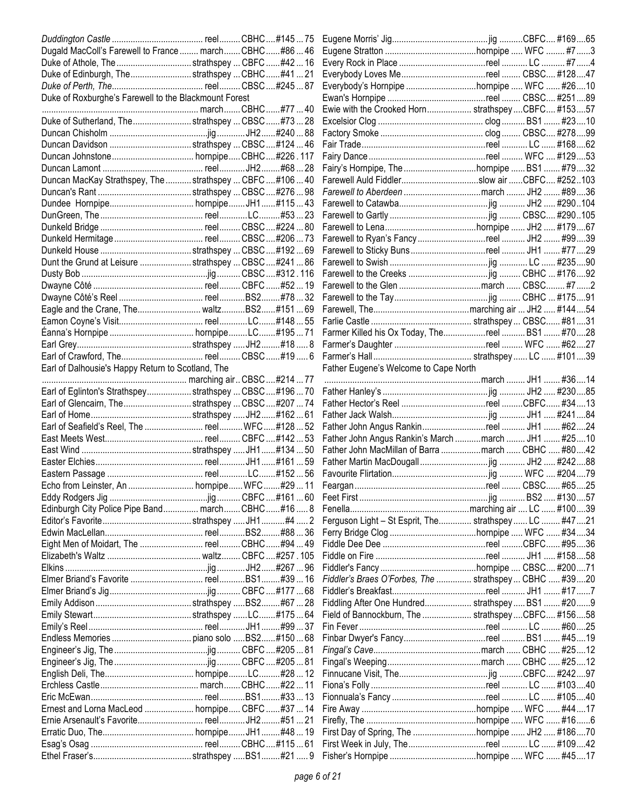| Dugald MacColl's Farewell to France  march CBHC #86  46   |  |                                                        |  |  |
|-----------------------------------------------------------|--|--------------------------------------------------------|--|--|
| Duke of Athole, The strathspey  CBFC #42  16              |  |                                                        |  |  |
| Duke of Edinburgh, The strathspey  CBHC#4121              |  | Everybody Loves Mereel  CBSC #12847                    |  |  |
|                                                           |  | Everybody's Hornpipe hornpipe  WFC  #2610              |  |  |
| Duke of Roxburghe's Farewell to the Blackmount Forest     |  |                                                        |  |  |
|                                                           |  | Ewie with the Crooked Horn strathspeyCBFC #15357       |  |  |
| Duke of Sutherland, Thestrathspey  CBSC #73  28           |  |                                                        |  |  |
|                                                           |  |                                                        |  |  |
|                                                           |  |                                                        |  |  |
|                                                           |  |                                                        |  |  |
|                                                           |  |                                                        |  |  |
| Duncan MacKay Strathspey, The  strathspey  CBFC  #106  40 |  |                                                        |  |  |
|                                                           |  |                                                        |  |  |
|                                                           |  |                                                        |  |  |
|                                                           |  |                                                        |  |  |
|                                                           |  |                                                        |  |  |
|                                                           |  |                                                        |  |  |
|                                                           |  |                                                        |  |  |
| Dunt the Grund at Leisure strathspey  CBSC  #241  86      |  |                                                        |  |  |
|                                                           |  |                                                        |  |  |
|                                                           |  |                                                        |  |  |
|                                                           |  |                                                        |  |  |
| Eagle and the Crane, The waltzBS2#15169                   |  |                                                        |  |  |
|                                                           |  |                                                        |  |  |
|                                                           |  |                                                        |  |  |
|                                                           |  |                                                        |  |  |
|                                                           |  |                                                        |  |  |
| Earl of Dalhousie's Happy Return to Scotland, The         |  | Father Eugene's Welcome to Cape North                  |  |  |
|                                                           |  |                                                        |  |  |
| Earl of Eglinton's Strathspey strathspey  CBSC  #196  70  |  |                                                        |  |  |
| Earl of Glencairn, The strathspey  CBSC #207  74          |  |                                                        |  |  |
|                                                           |  |                                                        |  |  |
|                                                           |  |                                                        |  |  |
|                                                           |  | Father John Angus Rankin's March  march  JH1  #2510    |  |  |
|                                                           |  | Father John MacMillan of Barra march  CBHC  #8042      |  |  |
|                                                           |  |                                                        |  |  |
|                                                           |  |                                                        |  |  |
|                                                           |  |                                                        |  |  |
|                                                           |  |                                                        |  |  |
|                                                           |  |                                                        |  |  |
|                                                           |  |                                                        |  |  |
| Edinburgh City Police Pipe Band march CBHC#16 8           |  |                                                        |  |  |
|                                                           |  | Ferguson Light - St Esprit, The strathspey LC  #4721   |  |  |
|                                                           |  |                                                        |  |  |
|                                                           |  |                                                        |  |  |
|                                                           |  |                                                        |  |  |
|                                                           |  |                                                        |  |  |
|                                                           |  | Fiddler's Braes O'Forbes, The  strathspey  CBHC  #3920 |  |  |
|                                                           |  |                                                        |  |  |
|                                                           |  | Fiddling After One Hundred strathspey  BS1  #209       |  |  |
|                                                           |  | Field of Bannockburn, The  strathspey  CBFC #156 58    |  |  |
|                                                           |  |                                                        |  |  |
|                                                           |  |                                                        |  |  |
|                                                           |  |                                                        |  |  |
|                                                           |  |                                                        |  |  |
|                                                           |  |                                                        |  |  |
|                                                           |  |                                                        |  |  |
|                                                           |  |                                                        |  |  |
|                                                           |  |                                                        |  |  |
|                                                           |  |                                                        |  |  |
|                                                           |  |                                                        |  |  |
|                                                           |  |                                                        |  |  |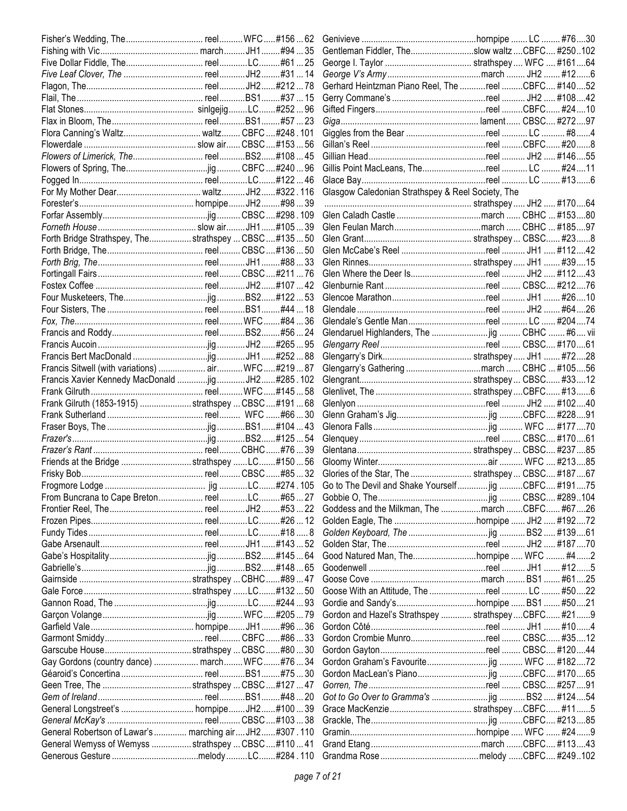|                                                         |  | Gentleman Fiddler, Theslow waltz  CBFC #250102       |  |     |
|---------------------------------------------------------|--|------------------------------------------------------|--|-----|
|                                                         |  |                                                      |  |     |
|                                                         |  |                                                      |  |     |
|                                                         |  | Gerhard Heintzman Piano Reel, The reel CBFC #14052   |  |     |
|                                                         |  |                                                      |  |     |
|                                                         |  |                                                      |  |     |
|                                                         |  |                                                      |  |     |
|                                                         |  |                                                      |  |     |
|                                                         |  |                                                      |  |     |
|                                                         |  |                                                      |  |     |
|                                                         |  |                                                      |  |     |
|                                                         |  |                                                      |  |     |
|                                                         |  | Glasgow Caledonian Strathspey & Reel Society, The    |  |     |
|                                                         |  |                                                      |  |     |
|                                                         |  |                                                      |  |     |
|                                                         |  |                                                      |  |     |
| Forth Bridge Strathspey, Thestrathspey  CBSC  #135  50  |  |                                                      |  |     |
|                                                         |  |                                                      |  |     |
|                                                         |  |                                                      |  |     |
|                                                         |  |                                                      |  |     |
|                                                         |  |                                                      |  |     |
|                                                         |  |                                                      |  |     |
|                                                         |  |                                                      |  |     |
|                                                         |  |                                                      |  |     |
|                                                         |  |                                                      |  |     |
|                                                         |  | Glendaruel Highlanders, The jig  CBHC  #6 vii        |  |     |
|                                                         |  |                                                      |  |     |
|                                                         |  |                                                      |  |     |
| Francis Sitwell (with variations)  air WFC#21987        |  |                                                      |  |     |
| Francis Xavier Kennedy MacDonald jig JH2#285.102        |  |                                                      |  |     |
|                                                         |  |                                                      |  |     |
| Frank Gilruth (1853-1915) strathspey  CBSC #191  68     |  |                                                      |  |     |
|                                                         |  |                                                      |  |     |
|                                                         |  |                                                      |  |     |
|                                                         |  |                                                      |  |     |
|                                                         |  |                                                      |  |     |
| Friends at the Bridge strathspey LC#150  56             |  |                                                      |  |     |
|                                                         |  | Glories of the Star, The  strathspey  CBSC #18767    |  |     |
|                                                         |  |                                                      |  |     |
|                                                         |  |                                                      |  |     |
|                                                         |  | Goddess and the Milkman, The march CBFC #67 26       |  |     |
|                                                         |  |                                                      |  |     |
|                                                         |  |                                                      |  |     |
|                                                         |  |                                                      |  |     |
|                                                         |  | Good Natured Man, Thehornpipe  WFC                   |  |     |
|                                                         |  |                                                      |  | . 5 |
|                                                         |  |                                                      |  |     |
|                                                         |  |                                                      |  |     |
|                                                         |  |                                                      |  |     |
|                                                         |  | Gordon and Hazel's Strathspey  strathspey  CBFC #219 |  |     |
|                                                         |  |                                                      |  |     |
|                                                         |  | Gordon Crombie Munroreel  CBSC #3512                 |  |     |
|                                                         |  |                                                      |  |     |
| Gay Gordons (country dance)  march WFC#76  34           |  |                                                      |  |     |
|                                                         |  |                                                      |  |     |
|                                                         |  |                                                      |  |     |
|                                                         |  |                                                      |  |     |
|                                                         |  |                                                      |  |     |
|                                                         |  |                                                      |  |     |
|                                                         |  |                                                      |  |     |
| General Robertson of Lawar's  marching air JH2 #307.110 |  |                                                      |  |     |
| General Wemyss of Wemyss  strathspey  CBSC  #110  41    |  |                                                      |  |     |
|                                                         |  |                                                      |  |     |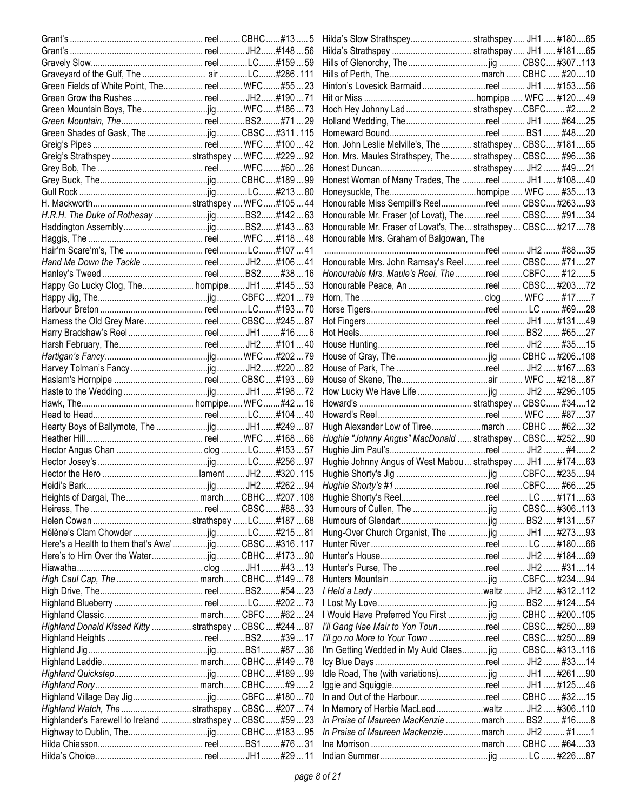| Green Fields of White Point, The reel WFC#5523              |  |                                                               |  |  |
|-------------------------------------------------------------|--|---------------------------------------------------------------|--|--|
|                                                             |  |                                                               |  |  |
|                                                             |  | Hoch Hey Johnny Lad  strathspey CBFC #22                      |  |  |
|                                                             |  |                                                               |  |  |
|                                                             |  |                                                               |  |  |
|                                                             |  | Hon. John Leslie Melville's, The  strathspey  CBSC #18165     |  |  |
|                                                             |  | Hon. Mrs. Maules Strathspey, The  strathspey  CBSC #9636      |  |  |
|                                                             |  |                                                               |  |  |
|                                                             |  | Honest Woman of Many Trades, The reel  JH1  #10840            |  |  |
|                                                             |  |                                                               |  |  |
|                                                             |  | Honourable Miss Sempill's Reelreel  CBSC #26393               |  |  |
|                                                             |  | Honourable Mr. Fraser (of Lovat), The reel  CBSC #9134        |  |  |
|                                                             |  | Honourable Mr. Fraser of Lovat's, The strathspey  CBSC #21778 |  |  |
|                                                             |  | Honourable Mrs. Graham of Balgowan, The                       |  |  |
|                                                             |  |                                                               |  |  |
|                                                             |  | Honourable Mrs. John Ramsay's Reelreel  CBSC #7127            |  |  |
|                                                             |  | Honourable Mrs. Maule's Reel, The reel CBFC #125              |  |  |
|                                                             |  |                                                               |  |  |
| Happy Go Lucky Clog, The hornpipeJH1#14553                  |  | Honourable Peace, An reel  CBSC #20372                        |  |  |
|                                                             |  |                                                               |  |  |
|                                                             |  |                                                               |  |  |
| Harness the Old Grey Mare reel CBSC#24587                   |  |                                                               |  |  |
|                                                             |  |                                                               |  |  |
|                                                             |  |                                                               |  |  |
|                                                             |  |                                                               |  |  |
|                                                             |  |                                                               |  |  |
|                                                             |  |                                                               |  |  |
|                                                             |  |                                                               |  |  |
|                                                             |  |                                                               |  |  |
|                                                             |  |                                                               |  |  |
|                                                             |  | Hugh Alexander Low of Tireemarch  CBHC  #6232                 |  |  |
|                                                             |  | Hughie "Johnny Angus" MacDonald  strathspey  CBSC #25290      |  |  |
|                                                             |  |                                                               |  |  |
|                                                             |  | Hughie Johnny Angus of West Mabou  strathspey  JH1  #17463    |  |  |
|                                                             |  |                                                               |  |  |
|                                                             |  |                                                               |  |  |
| Heights of Dargai, The march CBHC#207.108                   |  |                                                               |  |  |
|                                                             |  |                                                               |  |  |
|                                                             |  |                                                               |  |  |
|                                                             |  | Hung-Over Church Organist, The jig  JH1  #27393               |  |  |
| Here's a Health to them that's Awa'CBSC#316.117             |  |                                                               |  |  |
|                                                             |  |                                                               |  |  |
|                                                             |  |                                                               |  |  |
|                                                             |  |                                                               |  |  |
|                                                             |  |                                                               |  |  |
|                                                             |  |                                                               |  |  |
|                                                             |  | I Would Have Preferred You First  jig  CBHC  #200105          |  |  |
| Highland Donald Kissed Kitty  strathspey  CBSC  #244  87    |  | I'll Gang Nae Mair to Yon Toun reel  CBSC #25089              |  |  |
|                                                             |  | I'll go no More to Your Town reel  CBSC #25089                |  |  |
|                                                             |  | I'm Getting Wedded in My Auld Claes jig  CBSC #313116         |  |  |
|                                                             |  |                                                               |  |  |
|                                                             |  |                                                               |  |  |
|                                                             |  |                                                               |  |  |
|                                                             |  |                                                               |  |  |
|                                                             |  | In and Out of the Harbourreel  CBHC  #3215                    |  |  |
| Highland Watch, The strathspey  CBSC  #207  74              |  |                                                               |  |  |
| Highlander's Farewell to Ireland  strathspey  CBSC  #59  23 |  | In Praise of Maureen MacKenzie  march  BS2  #168              |  |  |
|                                                             |  | In Praise of Maureen Mackenziemarch  JH2  #11                 |  |  |
|                                                             |  |                                                               |  |  |
|                                                             |  |                                                               |  |  |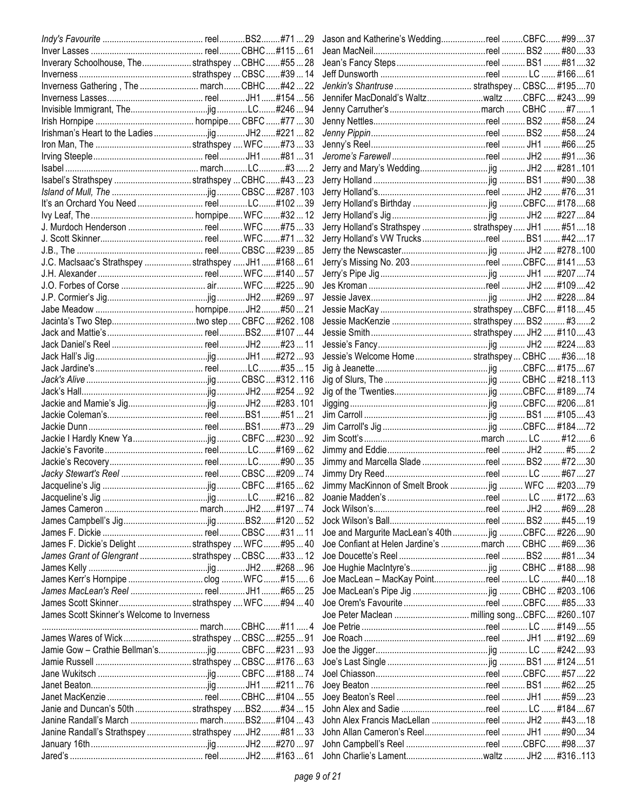|                                                     |  | Jason and Katherine's WeddingreelCBFC #9937        |  |           |  |
|-----------------------------------------------------|--|----------------------------------------------------|--|-----------|--|
|                                                     |  |                                                    |  |           |  |
| Inverary Schoolhouse, The strathspey  CBHC#55 28    |  |                                                    |  |           |  |
|                                                     |  |                                                    |  |           |  |
| Inverness Gathering, The  march CBHC#4222           |  | Jenkin's Shantruse  strathspey  CBSC #19570        |  |           |  |
|                                                     |  | Jennifer MacDonald's WaltzwaltzCBFC #24399         |  |           |  |
|                                                     |  |                                                    |  |           |  |
|                                                     |  |                                                    |  |           |  |
|                                                     |  |                                                    |  |           |  |
|                                                     |  |                                                    |  |           |  |
|                                                     |  |                                                    |  |           |  |
|                                                     |  |                                                    |  |           |  |
|                                                     |  |                                                    |  |           |  |
| Isabel's Strathspey strathspey  CBHC#4323           |  |                                                    |  |           |  |
|                                                     |  |                                                    |  |           |  |
|                                                     |  |                                                    |  |           |  |
|                                                     |  |                                                    |  |           |  |
|                                                     |  | Jerry Holland's Strathspey  strathspey  JH1  #5118 |  |           |  |
|                                                     |  |                                                    |  |           |  |
|                                                     |  |                                                    |  |           |  |
| J.C. MacIsaac's Strathspey  strathspey  JH1#168  61 |  | Jerry's Missing No. 203 reel CBFC #14153           |  |           |  |
|                                                     |  |                                                    |  |           |  |
|                                                     |  |                                                    |  |           |  |
|                                                     |  |                                                    |  |           |  |
|                                                     |  |                                                    |  |           |  |
|                                                     |  |                                                    |  |           |  |
|                                                     |  |                                                    |  |           |  |
|                                                     |  |                                                    |  |           |  |
|                                                     |  |                                                    |  |           |  |
|                                                     |  | Jessie's Welcome Home  strathspey  CBHC  #3618     |  |           |  |
|                                                     |  |                                                    |  |           |  |
|                                                     |  |                                                    |  |           |  |
|                                                     |  |                                                    |  |           |  |
|                                                     |  |                                                    |  |           |  |
|                                                     |  |                                                    |  |           |  |
|                                                     |  |                                                    |  |           |  |
|                                                     |  |                                                    |  |           |  |
|                                                     |  |                                                    |  |           |  |
|                                                     |  |                                                    |  |           |  |
|                                                     |  |                                                    |  |           |  |
|                                                     |  |                                                    |  |           |  |
|                                                     |  | Jimmy MacKinnon of Smelt Brook  jig  WFC  #20379   |  |           |  |
|                                                     |  |                                                    |  |           |  |
|                                                     |  |                                                    |  |           |  |
|                                                     |  |                                                    |  | #4519     |  |
|                                                     |  | Joe and Margurite MacLean's 40th  jig CBFC #22690  |  |           |  |
| James F. Dickie's Delight  strathspey  WFC  #95  40 |  |                                                    |  | … #69….36 |  |
| James Grant of Glengrant  strathspey  CBSC  #33  12 |  |                                                    |  | #8134     |  |
|                                                     |  |                                                    |  |           |  |
|                                                     |  | Joe MacLean - MacKay Pointreel  LC  #4018          |  |           |  |
|                                                     |  |                                                    |  |           |  |
| James Scott Skinnerstrathspey  WFC#94  40           |  | Joe Orem's Favourite reel CBFC #8533               |  |           |  |
| James Scott Skinner's Welcome to Inverness          |  |                                                    |  |           |  |
|                                                     |  |                                                    |  |           |  |
| James Wares of Wickstrathspey  CBSC#25591           |  |                                                    |  |           |  |
|                                                     |  |                                                    |  |           |  |
|                                                     |  |                                                    |  |           |  |
|                                                     |  |                                                    |  |           |  |
|                                                     |  |                                                    |  |           |  |
|                                                     |  |                                                    |  |           |  |
|                                                     |  |                                                    |  |           |  |
| Janie and Duncan's 50th strathspey BS2#34  15       |  |                                                    |  |           |  |
| Janine Randall's March  marchBS2#104  43            |  | John Alex Francis MacLellan reel  JH2  #4318       |  |           |  |
| Janine Randall's Strathspey  strathspey  JH2#81  33 |  |                                                    |  |           |  |
|                                                     |  | John Campbell's Reel reel CBFC #9837               |  |           |  |
|                                                     |  |                                                    |  |           |  |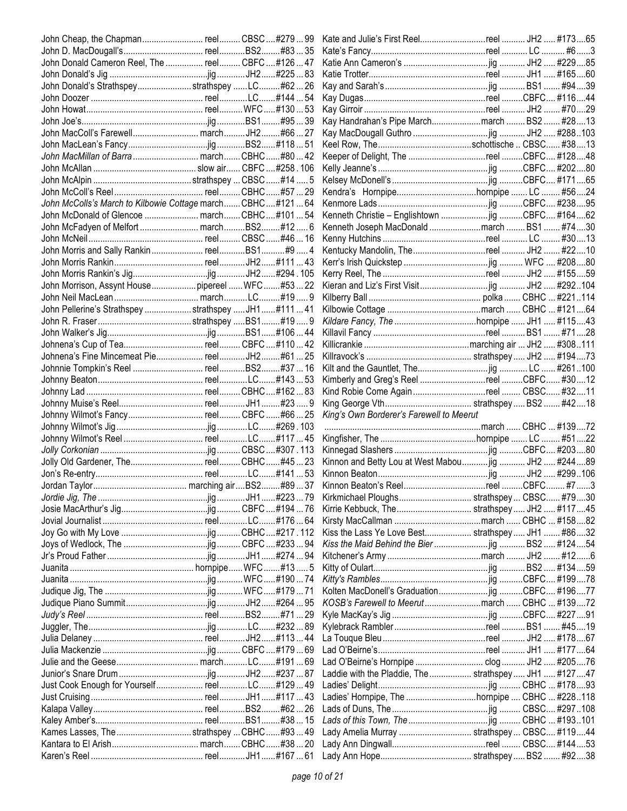| John Cheap, the Chapman reel CBSC#27999                   |  |                                                        |  |   |
|-----------------------------------------------------------|--|--------------------------------------------------------|--|---|
|                                                           |  |                                                        |  |   |
| John Donald Cameron Reel, The  reel CBFC #126  47         |  |                                                        |  |   |
|                                                           |  |                                                        |  |   |
| John Donald's StrathspeystrathspeyLC#6226                 |  |                                                        |  |   |
|                                                           |  |                                                        |  |   |
|                                                           |  |                                                        |  |   |
|                                                           |  | Kay Handrahan's Pipe Marchmarch  BS2  #2813            |  |   |
|                                                           |  |                                                        |  |   |
|                                                           |  |                                                        |  |   |
| John MacMillan of Barra  march CBHC#80  42                |  | Keeper of Delight, The reel CBFC #12848                |  |   |
|                                                           |  |                                                        |  |   |
|                                                           |  |                                                        |  |   |
|                                                           |  |                                                        |  |   |
| John McColls's March to Kilbowie Cottage march CBHC#12164 |  |                                                        |  |   |
|                                                           |  |                                                        |  |   |
| John McFadyen of Melfort  marchBS2#12 6                   |  | Kenneth Joseph MacDonald march  BS1  #7430             |  |   |
|                                                           |  |                                                        |  |   |
|                                                           |  |                                                        |  |   |
|                                                           |  |                                                        |  |   |
|                                                           |  |                                                        |  |   |
| John Morrison, Assynt Housepipereel  WFC#5322             |  |                                                        |  |   |
|                                                           |  |                                                        |  |   |
| John Pellerine's Strathspey  strathspey  JH1#11141        |  |                                                        |  |   |
|                                                           |  |                                                        |  |   |
|                                                           |  |                                                        |  |   |
|                                                           |  |                                                        |  |   |
| Johnena's Fine Mincemeat Pie reel JH2 #61 25              |  |                                                        |  |   |
|                                                           |  |                                                        |  |   |
|                                                           |  | Kimberly and Greg's Reel reel CBFC #3012               |  |   |
|                                                           |  | Kind Robie Come Again reel  CBSC #3211                 |  |   |
|                                                           |  |                                                        |  |   |
|                                                           |  |                                                        |  |   |
|                                                           |  |                                                        |  |   |
| Johnny Wilmot's Fancy reel CBFC #66  25                   |  | King's Own Borderer's Farewell to Meerut               |  |   |
|                                                           |  |                                                        |  |   |
|                                                           |  |                                                        |  |   |
|                                                           |  |                                                        |  |   |
| Jolly Old Gardener, The reel CBHC#4523                    |  | Kinnon and Betty Lou at West Mabou jig  JH2  #24489    |  |   |
|                                                           |  |                                                        |  |   |
|                                                           |  |                                                        |  |   |
|                                                           |  | Kirkmichael Ploughs strathspey CBSC #7930              |  |   |
|                                                           |  |                                                        |  |   |
|                                                           |  |                                                        |  |   |
|                                                           |  | Kiss the Lass Ye Love Best strathspey  JH1  #8632      |  |   |
|                                                           |  |                                                        |  |   |
|                                                           |  |                                                        |  | 6 |
|                                                           |  |                                                        |  |   |
|                                                           |  |                                                        |  |   |
|                                                           |  |                                                        |  |   |
|                                                           |  |                                                        |  |   |
|                                                           |  |                                                        |  |   |
|                                                           |  |                                                        |  |   |
|                                                           |  |                                                        |  |   |
|                                                           |  |                                                        |  |   |
|                                                           |  |                                                        |  |   |
|                                                           |  | Laddie with the Pladdie, The  strathspey  JH1  #127 47 |  |   |
| Just Cook Enough for Yourself reelLC#12949                |  |                                                        |  |   |
|                                                           |  |                                                        |  |   |
|                                                           |  |                                                        |  |   |
|                                                           |  |                                                        |  |   |
| Kames Lasses, The strathspey  CBHC#9349                   |  | Lady Amelia Murray  strathspey  CBSC #11944            |  |   |
|                                                           |  |                                                        |  |   |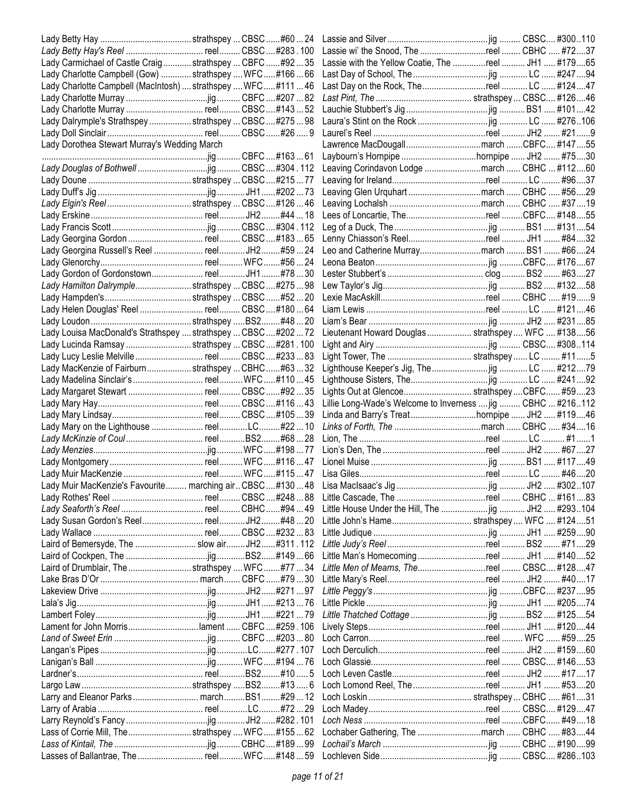|                                                                |  | Lassie wi' the Snood, The reel  CBHC  #7237                 |  |       |
|----------------------------------------------------------------|--|-------------------------------------------------------------|--|-------|
| Lady Carmichael of Castle Craig  strathspey  CBFC  #92  35     |  | Lassie with the Yellow Coatie, The reel  JH1  #17965        |  |       |
| Lady Charlotte Campbell (Gow)  strathspey  WFC#16666           |  |                                                             |  |       |
| Lady Charlotte Campbell (MacIntosh)  strathspey  WFC  #111  46 |  |                                                             |  |       |
|                                                                |  |                                                             |  |       |
| Lady Charlotte Murray  reel CBSC #143  52                      |  |                                                             |  |       |
| Lady Dalrymple's Strathspey  strathspey  CBSC  #275  98        |  |                                                             |  |       |
|                                                                |  |                                                             |  |       |
| Lady Dorothea Stewart Murray's Wedding March                   |  |                                                             |  |       |
|                                                                |  |                                                             |  |       |
|                                                                |  | Leaving Corindavon Lodge march  CBHC  #11260                |  |       |
|                                                                |  |                                                             |  |       |
|                                                                |  | Leaving Glen Urquhart march  CBHC  #5629                    |  |       |
|                                                                |  |                                                             |  |       |
|                                                                |  |                                                             |  |       |
|                                                                |  |                                                             |  |       |
| Lady Georgina Gordon  reel CBSC #183  65                       |  |                                                             |  |       |
|                                                                |  | Leo and Catherine Murraymarch  BS1  #6624                   |  |       |
|                                                                |  |                                                             |  |       |
|                                                                |  |                                                             |  |       |
|                                                                |  |                                                             |  |       |
| Lady Hamilton Dalrymple strathspey  CBSC  #275  98             |  |                                                             |  |       |
|                                                                |  |                                                             |  |       |
| Lady Helen Douglas' Reel  reel CBSC #180  64                   |  |                                                             |  |       |
|                                                                |  |                                                             |  |       |
| Lady Louisa MacDonald's Strathspey  strathspey  CBSC  #202  72 |  | Lieutenant Howard Douglas  strathspey  WFC  #13856          |  |       |
| Lady Lucinda Ramsay strathspey  CBSC  #281.100                 |  |                                                             |  |       |
| Lady Lucy Leslie Melville  reel CBSC #233  83                  |  |                                                             |  |       |
| Lady MacKenzie of Fairburn strathspey  CBHC #6332              |  |                                                             |  |       |
|                                                                |  |                                                             |  |       |
| Lady Margaret Stewart  reel CBSC #92  35                       |  | Lights Out at Glencoe strathspeyCBFC #5923                  |  |       |
|                                                                |  | Lillie Long-Wade's Welcome to Inverness  jig  CBHC  #216112 |  |       |
|                                                                |  |                                                             |  |       |
|                                                                |  | Linda and Barry's Treathornpipe  JH2  #11946                |  |       |
|                                                                |  |                                                             |  |       |
|                                                                |  |                                                             |  |       |
|                                                                |  |                                                             |  |       |
|                                                                |  |                                                             |  |       |
|                                                                |  |                                                             |  |       |
|                                                                |  |                                                             |  |       |
|                                                                |  |                                                             |  |       |
|                                                                |  |                                                             |  |       |
|                                                                |  |                                                             |  |       |
|                                                                |  |                                                             |  |       |
| Laird of Bemersyde, The  slow air JH2#311.112                  |  |                                                             |  |       |
|                                                                |  |                                                             |  |       |
| Laird of Drumblair, The strathspey  WFC #77  34                |  | Little Men of Mearns, Thereel  CBSC #12847                  |  |       |
|                                                                |  |                                                             |  |       |
|                                                                |  |                                                             |  |       |
|                                                                |  |                                                             |  |       |
|                                                                |  |                                                             |  |       |
| Lament for John Morrislament CBFC#259.106                      |  |                                                             |  |       |
|                                                                |  |                                                             |  |       |
|                                                                |  |                                                             |  |       |
|                                                                |  |                                                             |  |       |
|                                                                |  |                                                             |  |       |
|                                                                |  |                                                             |  |       |
|                                                                |  |                                                             |  |       |
|                                                                |  |                                                             |  |       |
|                                                                |  |                                                             |  | #4918 |
| Lass of Corrie Mill, Thestrathspey  WFC#15562                  |  |                                                             |  |       |
|                                                                |  |                                                             |  |       |
|                                                                |  |                                                             |  |       |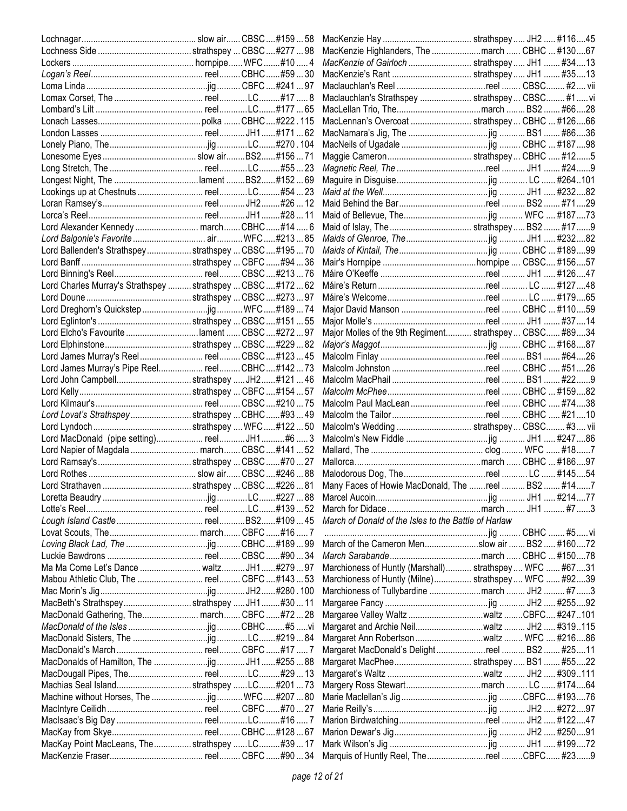|                                                              |  | MacKenzie Highlanders, The march  CBHC  #13067           |  |  |
|--------------------------------------------------------------|--|----------------------------------------------------------|--|--|
|                                                              |  | MacKenzie of Gairloch  strathspey  JH1  #34  13          |  |  |
|                                                              |  |                                                          |  |  |
|                                                              |  |                                                          |  |  |
|                                                              |  | Maclauchlan's Strathspey  strathspey  CBSC #1  vi        |  |  |
|                                                              |  |                                                          |  |  |
|                                                              |  | MacLennan's Overcoat  strathspey  CBHC  #12666           |  |  |
|                                                              |  |                                                          |  |  |
|                                                              |  |                                                          |  |  |
|                                                              |  |                                                          |  |  |
|                                                              |  |                                                          |  |  |
|                                                              |  |                                                          |  |  |
|                                                              |  |                                                          |  |  |
|                                                              |  |                                                          |  |  |
|                                                              |  |                                                          |  |  |
|                                                              |  |                                                          |  |  |
|                                                              |  |                                                          |  |  |
| Lord Ballenden's Strathspey strathspey  CBSC  #195  70       |  |                                                          |  |  |
|                                                              |  |                                                          |  |  |
|                                                              |  |                                                          |  |  |
| Lord Charles Murray's Strathspey  strathspey  CBSC  #172  62 |  |                                                          |  |  |
|                                                              |  |                                                          |  |  |
|                                                              |  | Major David Manson reel  CBHC  #11059                    |  |  |
|                                                              |  |                                                          |  |  |
|                                                              |  | Major Molles of the 9th Regiment strathspey  CBSC #8934  |  |  |
|                                                              |  |                                                          |  |  |
| Lord James Murray's Reel reel CBSC#12345                     |  |                                                          |  |  |
| Lord James Murray's Pipe Reel reel CBHC#14273                |  |                                                          |  |  |
| Lord John Campbellstrathspey  JH2#121  46                    |  |                                                          |  |  |
|                                                              |  |                                                          |  |  |
|                                                              |  | Malcolm Paul MacLean reel  CBHC  #7438                   |  |  |
| Lord Lovat's Strathspeystrathspey  CBHC#9349                 |  |                                                          |  |  |
|                                                              |  |                                                          |  |  |
| Lord MacDonald (pipe setting) reelJH1#6  3                   |  |                                                          |  |  |
| Lord Napier of Magdala  march CBSC#141 52                    |  |                                                          |  |  |
|                                                              |  |                                                          |  |  |
|                                                              |  |                                                          |  |  |
|                                                              |  | Many Faces of Howie MacDonald, The reel  BS2  #14 7      |  |  |
|                                                              |  |                                                          |  |  |
|                                                              |  | March of Donald of the Isles to the Battle of Harlaw     |  |  |
|                                                              |  |                                                          |  |  |
|                                                              |  | March of the Cameron Menslow air  BS2  #16072            |  |  |
|                                                              |  |                                                          |  |  |
| Ma Ma Come Let's Dance  waltz JH1 #279  97                   |  | Marchioness of Huntly (Marshall) strathspey  WFC  #67 31 |  |  |
| Mabou Athletic Club, The  reel CBFC #143  53                 |  | Marchioness of Huntly (Milne) strathspey WFC  #9239      |  |  |
|                                                              |  |                                                          |  |  |
| MacBeth's StrathspeystrathspeyJH1#3011                       |  |                                                          |  |  |
|                                                              |  |                                                          |  |  |
|                                                              |  | Margaret and Archie Neilwaltz  JH2  #319115              |  |  |
|                                                              |  |                                                          |  |  |
|                                                              |  | Margaret MacDonald's Delightreel  BS2  #2511             |  |  |
|                                                              |  |                                                          |  |  |
|                                                              |  |                                                          |  |  |
| Machias Seal Islandstrathspey LC#20173                       |  | Margery Ross Stewartmarch  LC  #17464                    |  |  |
|                                                              |  |                                                          |  |  |
|                                                              |  |                                                          |  |  |
|                                                              |  |                                                          |  |  |
|                                                              |  |                                                          |  |  |
| MacKay Point MacLeans, The  strathspey LC#39  17             |  |                                                          |  |  |
|                                                              |  | Marquis of Huntly Reel, ThereelCBFC #239                 |  |  |
|                                                              |  |                                                          |  |  |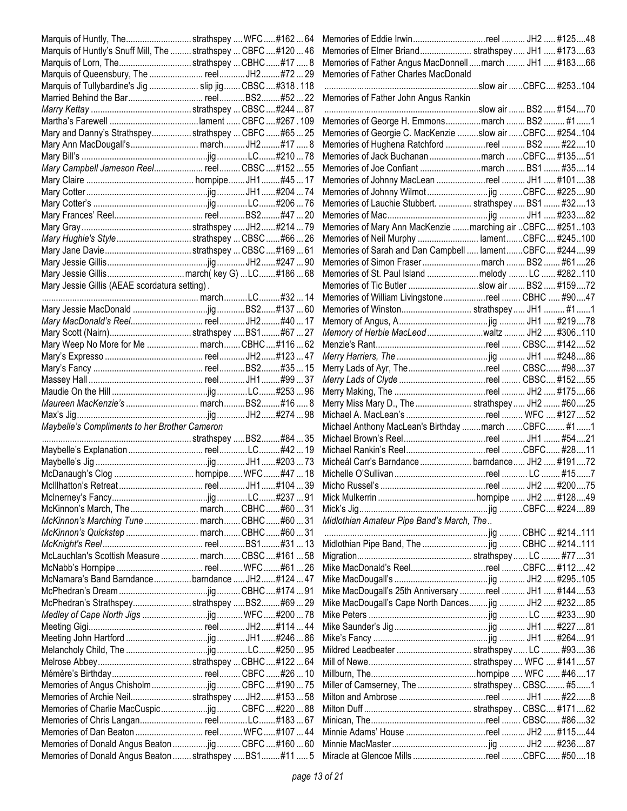| Marquis of Huntly's Snuff Mill, The  strathspey  CBFC  #120  46<br>Memories of Elmer Briand strathspey JH1  #17363<br>Marquis of Lorn, Thestrathspey  CBHC#17  8<br>Memories of Father Angus MacDonnellmarch  JH1  #18366<br>Memories of Father Charles MacDonald<br>Marquis of Tullybardine's Jig  slip jig  CBSC #318.118<br>.slow air CBFC #253104<br>Memories of Father John Angus Rankin<br>Memories of George H. Emmonsmarch  BS2  #11<br>Mary and Danny's Strathspey strathspey  CBFC #65  25<br>Memories of Georgie C. MacKenzie slow air CBFC #254104<br>Memories of Hughena Ratchford reel  BS2  #2210<br>Memories of Jack Buchanan march CBFC #13551<br>Mary Campbell Jameson Reel reel CBSC#15255<br>Memories of Joe Confiant march  BS1  #3514<br>Memories of Johnny MacLean reel  JH1  #10138<br>Memories of Lauchie Stubbert.  strathspey  BS1  #3213<br>Memories of Mary Ann MacKenzie  marching air  CBFC #251103<br>Mary Hughie's Stylestrathspey  CBSC#6626<br>Memories of Neil Murphy  lamentCBFC #245100<br>Memories of Sarah and Dan Campbell  lament  CBFC #24499<br>Memories of Simon Frasermarch BS2 #6126<br>Mary Jessie Gillis (AEAE scordatura setting).<br>Memories of Tic Butler slow air  BS2  #15972<br>Memories of William Livingstonereel  CBHC  #9047<br>Memory of Herbie MacLeod waltz  JH2  #306110<br>Mary Weep No More for Me  march CBHC#11662<br>Merry Lads of Clyde reel  CBSC #15255<br>Maureen MacKenzie's  marchBS2#16  8<br>Merry Miss Mary D., The  strathspey  JH2  #6025<br>Michael A. MacLean's reel  WFC  #127 52<br>Michael Anthony MacLean's Birthday  march  CBFC #1  1<br>Maybelle's Compliments to her Brother Cameron<br>Micheál Carr's Barndance  barndance  JH2  #19172<br>Midlothian Amateur Pipe Band's March, The<br>McKinnon's Marching Tune  march CBHC  #60  31<br>Midlothian Pipe Band, The  jig  CBHC  #214111<br>McLauchlan's Scottish Measure  march CBSC  #161  58<br>Mike MacDonald's Reelreel CBFC #11242<br>McNamara's Band Barndancebarndance JH2#12447<br>Mike MacDougall's 25th Anniversary reel  JH1  #14453<br>McPhedran's Strathspeystrathspey BS2#69  29<br>Mike MacDougall's Cape North Dances jig  JH2  #23285<br>Mildred Leadbeater  strathspey  LC  #9336<br>Miller of Camserney, The  strathspey  CBSC #51<br>Memories of Archie Neilstrathspey  JH2#15358<br>Memories of Donald Angus Beaton jig  CBFC #160  60<br>Memories of Donald Angus Beaton  strathspey  BS1 #11  5<br>Miracle at Glencoe Mills reel CBFC #5018 | Marquis of Huntly, Thestrathspey  WFC#16264 |  |  |  |  |
|--------------------------------------------------------------------------------------------------------------------------------------------------------------------------------------------------------------------------------------------------------------------------------------------------------------------------------------------------------------------------------------------------------------------------------------------------------------------------------------------------------------------------------------------------------------------------------------------------------------------------------------------------------------------------------------------------------------------------------------------------------------------------------------------------------------------------------------------------------------------------------------------------------------------------------------------------------------------------------------------------------------------------------------------------------------------------------------------------------------------------------------------------------------------------------------------------------------------------------------------------------------------------------------------------------------------------------------------------------------------------------------------------------------------------------------------------------------------------------------------------------------------------------------------------------------------------------------------------------------------------------------------------------------------------------------------------------------------------------------------------------------------------------------------------------------------------------------------------------------------------------------------------------------------------------------------------------------------------------------------------------------------------------------------------------------------------------------------------------------------------------------------------------------------------------------------------------------------------------------------------------------------------------------------------------------------------------------------------------------------------------------------------------------------------------------------------------------------------------------------------------------|---------------------------------------------|--|--|--|--|
|                                                                                                                                                                                                                                                                                                                                                                                                                                                                                                                                                                                                                                                                                                                                                                                                                                                                                                                                                                                                                                                                                                                                                                                                                                                                                                                                                                                                                                                                                                                                                                                                                                                                                                                                                                                                                                                                                                                                                                                                                                                                                                                                                                                                                                                                                                                                                                                                                                                                                                              |                                             |  |  |  |  |
|                                                                                                                                                                                                                                                                                                                                                                                                                                                                                                                                                                                                                                                                                                                                                                                                                                                                                                                                                                                                                                                                                                                                                                                                                                                                                                                                                                                                                                                                                                                                                                                                                                                                                                                                                                                                                                                                                                                                                                                                                                                                                                                                                                                                                                                                                                                                                                                                                                                                                                              |                                             |  |  |  |  |
|                                                                                                                                                                                                                                                                                                                                                                                                                                                                                                                                                                                                                                                                                                                                                                                                                                                                                                                                                                                                                                                                                                                                                                                                                                                                                                                                                                                                                                                                                                                                                                                                                                                                                                                                                                                                                                                                                                                                                                                                                                                                                                                                                                                                                                                                                                                                                                                                                                                                                                              |                                             |  |  |  |  |
|                                                                                                                                                                                                                                                                                                                                                                                                                                                                                                                                                                                                                                                                                                                                                                                                                                                                                                                                                                                                                                                                                                                                                                                                                                                                                                                                                                                                                                                                                                                                                                                                                                                                                                                                                                                                                                                                                                                                                                                                                                                                                                                                                                                                                                                                                                                                                                                                                                                                                                              |                                             |  |  |  |  |
|                                                                                                                                                                                                                                                                                                                                                                                                                                                                                                                                                                                                                                                                                                                                                                                                                                                                                                                                                                                                                                                                                                                                                                                                                                                                                                                                                                                                                                                                                                                                                                                                                                                                                                                                                                                                                                                                                                                                                                                                                                                                                                                                                                                                                                                                                                                                                                                                                                                                                                              |                                             |  |  |  |  |
|                                                                                                                                                                                                                                                                                                                                                                                                                                                                                                                                                                                                                                                                                                                                                                                                                                                                                                                                                                                                                                                                                                                                                                                                                                                                                                                                                                                                                                                                                                                                                                                                                                                                                                                                                                                                                                                                                                                                                                                                                                                                                                                                                                                                                                                                                                                                                                                                                                                                                                              |                                             |  |  |  |  |
|                                                                                                                                                                                                                                                                                                                                                                                                                                                                                                                                                                                                                                                                                                                                                                                                                                                                                                                                                                                                                                                                                                                                                                                                                                                                                                                                                                                                                                                                                                                                                                                                                                                                                                                                                                                                                                                                                                                                                                                                                                                                                                                                                                                                                                                                                                                                                                                                                                                                                                              |                                             |  |  |  |  |
|                                                                                                                                                                                                                                                                                                                                                                                                                                                                                                                                                                                                                                                                                                                                                                                                                                                                                                                                                                                                                                                                                                                                                                                                                                                                                                                                                                                                                                                                                                                                                                                                                                                                                                                                                                                                                                                                                                                                                                                                                                                                                                                                                                                                                                                                                                                                                                                                                                                                                                              |                                             |  |  |  |  |
|                                                                                                                                                                                                                                                                                                                                                                                                                                                                                                                                                                                                                                                                                                                                                                                                                                                                                                                                                                                                                                                                                                                                                                                                                                                                                                                                                                                                                                                                                                                                                                                                                                                                                                                                                                                                                                                                                                                                                                                                                                                                                                                                                                                                                                                                                                                                                                                                                                                                                                              |                                             |  |  |  |  |
|                                                                                                                                                                                                                                                                                                                                                                                                                                                                                                                                                                                                                                                                                                                                                                                                                                                                                                                                                                                                                                                                                                                                                                                                                                                                                                                                                                                                                                                                                                                                                                                                                                                                                                                                                                                                                                                                                                                                                                                                                                                                                                                                                                                                                                                                                                                                                                                                                                                                                                              |                                             |  |  |  |  |
|                                                                                                                                                                                                                                                                                                                                                                                                                                                                                                                                                                                                                                                                                                                                                                                                                                                                                                                                                                                                                                                                                                                                                                                                                                                                                                                                                                                                                                                                                                                                                                                                                                                                                                                                                                                                                                                                                                                                                                                                                                                                                                                                                                                                                                                                                                                                                                                                                                                                                                              |                                             |  |  |  |  |
|                                                                                                                                                                                                                                                                                                                                                                                                                                                                                                                                                                                                                                                                                                                                                                                                                                                                                                                                                                                                                                                                                                                                                                                                                                                                                                                                                                                                                                                                                                                                                                                                                                                                                                                                                                                                                                                                                                                                                                                                                                                                                                                                                                                                                                                                                                                                                                                                                                                                                                              |                                             |  |  |  |  |
|                                                                                                                                                                                                                                                                                                                                                                                                                                                                                                                                                                                                                                                                                                                                                                                                                                                                                                                                                                                                                                                                                                                                                                                                                                                                                                                                                                                                                                                                                                                                                                                                                                                                                                                                                                                                                                                                                                                                                                                                                                                                                                                                                                                                                                                                                                                                                                                                                                                                                                              |                                             |  |  |  |  |
|                                                                                                                                                                                                                                                                                                                                                                                                                                                                                                                                                                                                                                                                                                                                                                                                                                                                                                                                                                                                                                                                                                                                                                                                                                                                                                                                                                                                                                                                                                                                                                                                                                                                                                                                                                                                                                                                                                                                                                                                                                                                                                                                                                                                                                                                                                                                                                                                                                                                                                              |                                             |  |  |  |  |
|                                                                                                                                                                                                                                                                                                                                                                                                                                                                                                                                                                                                                                                                                                                                                                                                                                                                                                                                                                                                                                                                                                                                                                                                                                                                                                                                                                                                                                                                                                                                                                                                                                                                                                                                                                                                                                                                                                                                                                                                                                                                                                                                                                                                                                                                                                                                                                                                                                                                                                              |                                             |  |  |  |  |
|                                                                                                                                                                                                                                                                                                                                                                                                                                                                                                                                                                                                                                                                                                                                                                                                                                                                                                                                                                                                                                                                                                                                                                                                                                                                                                                                                                                                                                                                                                                                                                                                                                                                                                                                                                                                                                                                                                                                                                                                                                                                                                                                                                                                                                                                                                                                                                                                                                                                                                              |                                             |  |  |  |  |
|                                                                                                                                                                                                                                                                                                                                                                                                                                                                                                                                                                                                                                                                                                                                                                                                                                                                                                                                                                                                                                                                                                                                                                                                                                                                                                                                                                                                                                                                                                                                                                                                                                                                                                                                                                                                                                                                                                                                                                                                                                                                                                                                                                                                                                                                                                                                                                                                                                                                                                              |                                             |  |  |  |  |
|                                                                                                                                                                                                                                                                                                                                                                                                                                                                                                                                                                                                                                                                                                                                                                                                                                                                                                                                                                                                                                                                                                                                                                                                                                                                                                                                                                                                                                                                                                                                                                                                                                                                                                                                                                                                                                                                                                                                                                                                                                                                                                                                                                                                                                                                                                                                                                                                                                                                                                              |                                             |  |  |  |  |
|                                                                                                                                                                                                                                                                                                                                                                                                                                                                                                                                                                                                                                                                                                                                                                                                                                                                                                                                                                                                                                                                                                                                                                                                                                                                                                                                                                                                                                                                                                                                                                                                                                                                                                                                                                                                                                                                                                                                                                                                                                                                                                                                                                                                                                                                                                                                                                                                                                                                                                              |                                             |  |  |  |  |
|                                                                                                                                                                                                                                                                                                                                                                                                                                                                                                                                                                                                                                                                                                                                                                                                                                                                                                                                                                                                                                                                                                                                                                                                                                                                                                                                                                                                                                                                                                                                                                                                                                                                                                                                                                                                                                                                                                                                                                                                                                                                                                                                                                                                                                                                                                                                                                                                                                                                                                              |                                             |  |  |  |  |
|                                                                                                                                                                                                                                                                                                                                                                                                                                                                                                                                                                                                                                                                                                                                                                                                                                                                                                                                                                                                                                                                                                                                                                                                                                                                                                                                                                                                                                                                                                                                                                                                                                                                                                                                                                                                                                                                                                                                                                                                                                                                                                                                                                                                                                                                                                                                                                                                                                                                                                              |                                             |  |  |  |  |
|                                                                                                                                                                                                                                                                                                                                                                                                                                                                                                                                                                                                                                                                                                                                                                                                                                                                                                                                                                                                                                                                                                                                                                                                                                                                                                                                                                                                                                                                                                                                                                                                                                                                                                                                                                                                                                                                                                                                                                                                                                                                                                                                                                                                                                                                                                                                                                                                                                                                                                              |                                             |  |  |  |  |
|                                                                                                                                                                                                                                                                                                                                                                                                                                                                                                                                                                                                                                                                                                                                                                                                                                                                                                                                                                                                                                                                                                                                                                                                                                                                                                                                                                                                                                                                                                                                                                                                                                                                                                                                                                                                                                                                                                                                                                                                                                                                                                                                                                                                                                                                                                                                                                                                                                                                                                              |                                             |  |  |  |  |
|                                                                                                                                                                                                                                                                                                                                                                                                                                                                                                                                                                                                                                                                                                                                                                                                                                                                                                                                                                                                                                                                                                                                                                                                                                                                                                                                                                                                                                                                                                                                                                                                                                                                                                                                                                                                                                                                                                                                                                                                                                                                                                                                                                                                                                                                                                                                                                                                                                                                                                              |                                             |  |  |  |  |
|                                                                                                                                                                                                                                                                                                                                                                                                                                                                                                                                                                                                                                                                                                                                                                                                                                                                                                                                                                                                                                                                                                                                                                                                                                                                                                                                                                                                                                                                                                                                                                                                                                                                                                                                                                                                                                                                                                                                                                                                                                                                                                                                                                                                                                                                                                                                                                                                                                                                                                              |                                             |  |  |  |  |
|                                                                                                                                                                                                                                                                                                                                                                                                                                                                                                                                                                                                                                                                                                                                                                                                                                                                                                                                                                                                                                                                                                                                                                                                                                                                                                                                                                                                                                                                                                                                                                                                                                                                                                                                                                                                                                                                                                                                                                                                                                                                                                                                                                                                                                                                                                                                                                                                                                                                                                              |                                             |  |  |  |  |
|                                                                                                                                                                                                                                                                                                                                                                                                                                                                                                                                                                                                                                                                                                                                                                                                                                                                                                                                                                                                                                                                                                                                                                                                                                                                                                                                                                                                                                                                                                                                                                                                                                                                                                                                                                                                                                                                                                                                                                                                                                                                                                                                                                                                                                                                                                                                                                                                                                                                                                              |                                             |  |  |  |  |
|                                                                                                                                                                                                                                                                                                                                                                                                                                                                                                                                                                                                                                                                                                                                                                                                                                                                                                                                                                                                                                                                                                                                                                                                                                                                                                                                                                                                                                                                                                                                                                                                                                                                                                                                                                                                                                                                                                                                                                                                                                                                                                                                                                                                                                                                                                                                                                                                                                                                                                              |                                             |  |  |  |  |
|                                                                                                                                                                                                                                                                                                                                                                                                                                                                                                                                                                                                                                                                                                                                                                                                                                                                                                                                                                                                                                                                                                                                                                                                                                                                                                                                                                                                                                                                                                                                                                                                                                                                                                                                                                                                                                                                                                                                                                                                                                                                                                                                                                                                                                                                                                                                                                                                                                                                                                              |                                             |  |  |  |  |
|                                                                                                                                                                                                                                                                                                                                                                                                                                                                                                                                                                                                                                                                                                                                                                                                                                                                                                                                                                                                                                                                                                                                                                                                                                                                                                                                                                                                                                                                                                                                                                                                                                                                                                                                                                                                                                                                                                                                                                                                                                                                                                                                                                                                                                                                                                                                                                                                                                                                                                              |                                             |  |  |  |  |
|                                                                                                                                                                                                                                                                                                                                                                                                                                                                                                                                                                                                                                                                                                                                                                                                                                                                                                                                                                                                                                                                                                                                                                                                                                                                                                                                                                                                                                                                                                                                                                                                                                                                                                                                                                                                                                                                                                                                                                                                                                                                                                                                                                                                                                                                                                                                                                                                                                                                                                              |                                             |  |  |  |  |
|                                                                                                                                                                                                                                                                                                                                                                                                                                                                                                                                                                                                                                                                                                                                                                                                                                                                                                                                                                                                                                                                                                                                                                                                                                                                                                                                                                                                                                                                                                                                                                                                                                                                                                                                                                                                                                                                                                                                                                                                                                                                                                                                                                                                                                                                                                                                                                                                                                                                                                              |                                             |  |  |  |  |
|                                                                                                                                                                                                                                                                                                                                                                                                                                                                                                                                                                                                                                                                                                                                                                                                                                                                                                                                                                                                                                                                                                                                                                                                                                                                                                                                                                                                                                                                                                                                                                                                                                                                                                                                                                                                                                                                                                                                                                                                                                                                                                                                                                                                                                                                                                                                                                                                                                                                                                              |                                             |  |  |  |  |
|                                                                                                                                                                                                                                                                                                                                                                                                                                                                                                                                                                                                                                                                                                                                                                                                                                                                                                                                                                                                                                                                                                                                                                                                                                                                                                                                                                                                                                                                                                                                                                                                                                                                                                                                                                                                                                                                                                                                                                                                                                                                                                                                                                                                                                                                                                                                                                                                                                                                                                              |                                             |  |  |  |  |
|                                                                                                                                                                                                                                                                                                                                                                                                                                                                                                                                                                                                                                                                                                                                                                                                                                                                                                                                                                                                                                                                                                                                                                                                                                                                                                                                                                                                                                                                                                                                                                                                                                                                                                                                                                                                                                                                                                                                                                                                                                                                                                                                                                                                                                                                                                                                                                                                                                                                                                              |                                             |  |  |  |  |
|                                                                                                                                                                                                                                                                                                                                                                                                                                                                                                                                                                                                                                                                                                                                                                                                                                                                                                                                                                                                                                                                                                                                                                                                                                                                                                                                                                                                                                                                                                                                                                                                                                                                                                                                                                                                                                                                                                                                                                                                                                                                                                                                                                                                                                                                                                                                                                                                                                                                                                              |                                             |  |  |  |  |
|                                                                                                                                                                                                                                                                                                                                                                                                                                                                                                                                                                                                                                                                                                                                                                                                                                                                                                                                                                                                                                                                                                                                                                                                                                                                                                                                                                                                                                                                                                                                                                                                                                                                                                                                                                                                                                                                                                                                                                                                                                                                                                                                                                                                                                                                                                                                                                                                                                                                                                              |                                             |  |  |  |  |
|                                                                                                                                                                                                                                                                                                                                                                                                                                                                                                                                                                                                                                                                                                                                                                                                                                                                                                                                                                                                                                                                                                                                                                                                                                                                                                                                                                                                                                                                                                                                                                                                                                                                                                                                                                                                                                                                                                                                                                                                                                                                                                                                                                                                                                                                                                                                                                                                                                                                                                              |                                             |  |  |  |  |
|                                                                                                                                                                                                                                                                                                                                                                                                                                                                                                                                                                                                                                                                                                                                                                                                                                                                                                                                                                                                                                                                                                                                                                                                                                                                                                                                                                                                                                                                                                                                                                                                                                                                                                                                                                                                                                                                                                                                                                                                                                                                                                                                                                                                                                                                                                                                                                                                                                                                                                              |                                             |  |  |  |  |
|                                                                                                                                                                                                                                                                                                                                                                                                                                                                                                                                                                                                                                                                                                                                                                                                                                                                                                                                                                                                                                                                                                                                                                                                                                                                                                                                                                                                                                                                                                                                                                                                                                                                                                                                                                                                                                                                                                                                                                                                                                                                                                                                                                                                                                                                                                                                                                                                                                                                                                              |                                             |  |  |  |  |
|                                                                                                                                                                                                                                                                                                                                                                                                                                                                                                                                                                                                                                                                                                                                                                                                                                                                                                                                                                                                                                                                                                                                                                                                                                                                                                                                                                                                                                                                                                                                                                                                                                                                                                                                                                                                                                                                                                                                                                                                                                                                                                                                                                                                                                                                                                                                                                                                                                                                                                              |                                             |  |  |  |  |
|                                                                                                                                                                                                                                                                                                                                                                                                                                                                                                                                                                                                                                                                                                                                                                                                                                                                                                                                                                                                                                                                                                                                                                                                                                                                                                                                                                                                                                                                                                                                                                                                                                                                                                                                                                                                                                                                                                                                                                                                                                                                                                                                                                                                                                                                                                                                                                                                                                                                                                              |                                             |  |  |  |  |
|                                                                                                                                                                                                                                                                                                                                                                                                                                                                                                                                                                                                                                                                                                                                                                                                                                                                                                                                                                                                                                                                                                                                                                                                                                                                                                                                                                                                                                                                                                                                                                                                                                                                                                                                                                                                                                                                                                                                                                                                                                                                                                                                                                                                                                                                                                                                                                                                                                                                                                              |                                             |  |  |  |  |
|                                                                                                                                                                                                                                                                                                                                                                                                                                                                                                                                                                                                                                                                                                                                                                                                                                                                                                                                                                                                                                                                                                                                                                                                                                                                                                                                                                                                                                                                                                                                                                                                                                                                                                                                                                                                                                                                                                                                                                                                                                                                                                                                                                                                                                                                                                                                                                                                                                                                                                              |                                             |  |  |  |  |
|                                                                                                                                                                                                                                                                                                                                                                                                                                                                                                                                                                                                                                                                                                                                                                                                                                                                                                                                                                                                                                                                                                                                                                                                                                                                                                                                                                                                                                                                                                                                                                                                                                                                                                                                                                                                                                                                                                                                                                                                                                                                                                                                                                                                                                                                                                                                                                                                                                                                                                              |                                             |  |  |  |  |
|                                                                                                                                                                                                                                                                                                                                                                                                                                                                                                                                                                                                                                                                                                                                                                                                                                                                                                                                                                                                                                                                                                                                                                                                                                                                                                                                                                                                                                                                                                                                                                                                                                                                                                                                                                                                                                                                                                                                                                                                                                                                                                                                                                                                                                                                                                                                                                                                                                                                                                              |                                             |  |  |  |  |
|                                                                                                                                                                                                                                                                                                                                                                                                                                                                                                                                                                                                                                                                                                                                                                                                                                                                                                                                                                                                                                                                                                                                                                                                                                                                                                                                                                                                                                                                                                                                                                                                                                                                                                                                                                                                                                                                                                                                                                                                                                                                                                                                                                                                                                                                                                                                                                                                                                                                                                              |                                             |  |  |  |  |
|                                                                                                                                                                                                                                                                                                                                                                                                                                                                                                                                                                                                                                                                                                                                                                                                                                                                                                                                                                                                                                                                                                                                                                                                                                                                                                                                                                                                                                                                                                                                                                                                                                                                                                                                                                                                                                                                                                                                                                                                                                                                                                                                                                                                                                                                                                                                                                                                                                                                                                              |                                             |  |  |  |  |
|                                                                                                                                                                                                                                                                                                                                                                                                                                                                                                                                                                                                                                                                                                                                                                                                                                                                                                                                                                                                                                                                                                                                                                                                                                                                                                                                                                                                                                                                                                                                                                                                                                                                                                                                                                                                                                                                                                                                                                                                                                                                                                                                                                                                                                                                                                                                                                                                                                                                                                              |                                             |  |  |  |  |
|                                                                                                                                                                                                                                                                                                                                                                                                                                                                                                                                                                                                                                                                                                                                                                                                                                                                                                                                                                                                                                                                                                                                                                                                                                                                                                                                                                                                                                                                                                                                                                                                                                                                                                                                                                                                                                                                                                                                                                                                                                                                                                                                                                                                                                                                                                                                                                                                                                                                                                              |                                             |  |  |  |  |
|                                                                                                                                                                                                                                                                                                                                                                                                                                                                                                                                                                                                                                                                                                                                                                                                                                                                                                                                                                                                                                                                                                                                                                                                                                                                                                                                                                                                                                                                                                                                                                                                                                                                                                                                                                                                                                                                                                                                                                                                                                                                                                                                                                                                                                                                                                                                                                                                                                                                                                              |                                             |  |  |  |  |
|                                                                                                                                                                                                                                                                                                                                                                                                                                                                                                                                                                                                                                                                                                                                                                                                                                                                                                                                                                                                                                                                                                                                                                                                                                                                                                                                                                                                                                                                                                                                                                                                                                                                                                                                                                                                                                                                                                                                                                                                                                                                                                                                                                                                                                                                                                                                                                                                                                                                                                              |                                             |  |  |  |  |
|                                                                                                                                                                                                                                                                                                                                                                                                                                                                                                                                                                                                                                                                                                                                                                                                                                                                                                                                                                                                                                                                                                                                                                                                                                                                                                                                                                                                                                                                                                                                                                                                                                                                                                                                                                                                                                                                                                                                                                                                                                                                                                                                                                                                                                                                                                                                                                                                                                                                                                              |                                             |  |  |  |  |
|                                                                                                                                                                                                                                                                                                                                                                                                                                                                                                                                                                                                                                                                                                                                                                                                                                                                                                                                                                                                                                                                                                                                                                                                                                                                                                                                                                                                                                                                                                                                                                                                                                                                                                                                                                                                                                                                                                                                                                                                                                                                                                                                                                                                                                                                                                                                                                                                                                                                                                              |                                             |  |  |  |  |
|                                                                                                                                                                                                                                                                                                                                                                                                                                                                                                                                                                                                                                                                                                                                                                                                                                                                                                                                                                                                                                                                                                                                                                                                                                                                                                                                                                                                                                                                                                                                                                                                                                                                                                                                                                                                                                                                                                                                                                                                                                                                                                                                                                                                                                                                                                                                                                                                                                                                                                              |                                             |  |  |  |  |
|                                                                                                                                                                                                                                                                                                                                                                                                                                                                                                                                                                                                                                                                                                                                                                                                                                                                                                                                                                                                                                                                                                                                                                                                                                                                                                                                                                                                                                                                                                                                                                                                                                                                                                                                                                                                                                                                                                                                                                                                                                                                                                                                                                                                                                                                                                                                                                                                                                                                                                              |                                             |  |  |  |  |
|                                                                                                                                                                                                                                                                                                                                                                                                                                                                                                                                                                                                                                                                                                                                                                                                                                                                                                                                                                                                                                                                                                                                                                                                                                                                                                                                                                                                                                                                                                                                                                                                                                                                                                                                                                                                                                                                                                                                                                                                                                                                                                                                                                                                                                                                                                                                                                                                                                                                                                              |                                             |  |  |  |  |
|                                                                                                                                                                                                                                                                                                                                                                                                                                                                                                                                                                                                                                                                                                                                                                                                                                                                                                                                                                                                                                                                                                                                                                                                                                                                                                                                                                                                                                                                                                                                                                                                                                                                                                                                                                                                                                                                                                                                                                                                                                                                                                                                                                                                                                                                                                                                                                                                                                                                                                              |                                             |  |  |  |  |
|                                                                                                                                                                                                                                                                                                                                                                                                                                                                                                                                                                                                                                                                                                                                                                                                                                                                                                                                                                                                                                                                                                                                                                                                                                                                                                                                                                                                                                                                                                                                                                                                                                                                                                                                                                                                                                                                                                                                                                                                                                                                                                                                                                                                                                                                                                                                                                                                                                                                                                              |                                             |  |  |  |  |
|                                                                                                                                                                                                                                                                                                                                                                                                                                                                                                                                                                                                                                                                                                                                                                                                                                                                                                                                                                                                                                                                                                                                                                                                                                                                                                                                                                                                                                                                                                                                                                                                                                                                                                                                                                                                                                                                                                                                                                                                                                                                                                                                                                                                                                                                                                                                                                                                                                                                                                              |                                             |  |  |  |  |
|                                                                                                                                                                                                                                                                                                                                                                                                                                                                                                                                                                                                                                                                                                                                                                                                                                                                                                                                                                                                                                                                                                                                                                                                                                                                                                                                                                                                                                                                                                                                                                                                                                                                                                                                                                                                                                                                                                                                                                                                                                                                                                                                                                                                                                                                                                                                                                                                                                                                                                              |                                             |  |  |  |  |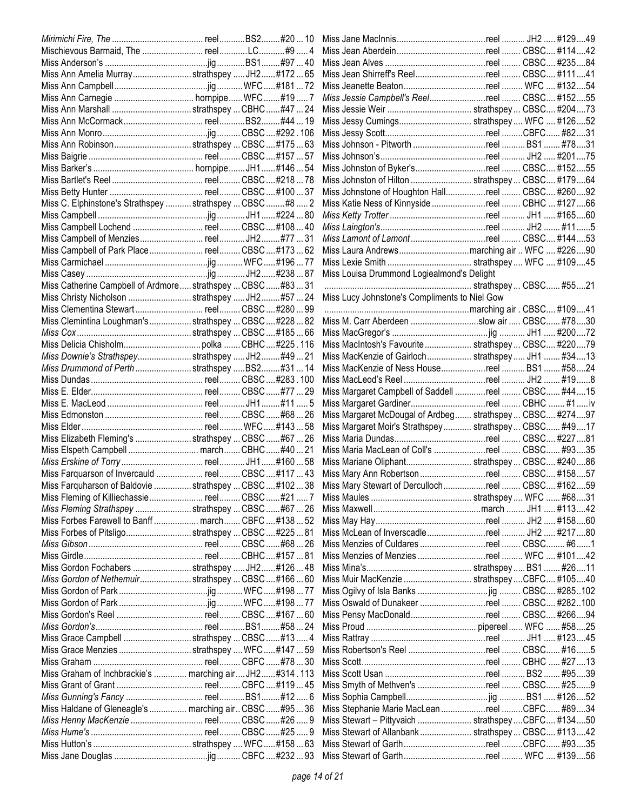| Miss Ann Amelia Murraystrathspey  JH2#17265                  |  | Miss Jean Shirreff's Reelreel  CBSC #11141              |  |  |
|--------------------------------------------------------------|--|---------------------------------------------------------|--|--|
|                                                              |  | Miss Jeanette Beatonreel  WFC  #13254                   |  |  |
|                                                              |  | Miss Jessie Campbell's Reelreel  CBSC #15255            |  |  |
|                                                              |  |                                                         |  |  |
|                                                              |  | Miss Jessy Cumings strathspey WFC  #12652               |  |  |
|                                                              |  |                                                         |  |  |
|                                                              |  |                                                         |  |  |
|                                                              |  |                                                         |  |  |
|                                                              |  | Miss Johnston of Byker'sreel  CBSC #15255               |  |  |
|                                                              |  | Miss Johnston of Hilton  strathspey  CBSC #17964        |  |  |
|                                                              |  | Miss Johnstone of Houghton Hallreel  CBSC #26092        |  |  |
| Miss C. Elphinstone's Strathspey  strathspey  CBSC #8  2     |  | Miss Katie Ness of Kinnyside reel  CBHC  #127 66        |  |  |
|                                                              |  |                                                         |  |  |
| Miss Campbell Lochend  reel CBSC #108  40                    |  |                                                         |  |  |
|                                                              |  |                                                         |  |  |
|                                                              |  |                                                         |  |  |
| Miss Campbell of Park Place reel CBSC#17362                  |  |                                                         |  |  |
|                                                              |  |                                                         |  |  |
|                                                              |  | Miss Louisa Drummond Logiealmond's Delight              |  |  |
| Miss Catherine Campbell of Ardmore strathspey  CBSC  #83  31 |  |                                                         |  |  |
| Miss Christy Nicholson  strathspey JH2#57 24                 |  | Miss Lucy Johnstone's Compliments to Niel Gow           |  |  |
| Miss Clementina Stewart reel CBSC#28099                      |  |                                                         |  |  |
| Miss Clemintina Loughman's strathspey  CBSC  #228  82        |  | Miss M. Carr Aberdeen slow air  CBSC #7830              |  |  |
|                                                              |  |                                                         |  |  |
|                                                              |  | Miss MacIntosh's Favourite strathspey CBSC #22079       |  |  |
| Miss Downie's Strathspey strathspey  JH2 #49  21             |  | Miss MacKenzie of Gairloch strathspey JH1  #3413        |  |  |
| Miss Drummond of Perth  strathspey BS2#31  14                |  | Miss MacKenzie of Ness Housereel  BS1  #5824            |  |  |
|                                                              |  |                                                         |  |  |
|                                                              |  | Miss Margaret Campbell of Saddell reel  CBSC #4415      |  |  |
|                                                              |  | Miss Margaret Gardinerreel  CBHC  #1  iv                |  |  |
|                                                              |  | Miss Margaret McDougal of Ardbeg strathspey CBSC #27497 |  |  |
|                                                              |  | Miss Margaret Moir's Strathspey  strathspey  CBSC #4917 |  |  |
| Miss Elizabeth Fleming's  strathspey  CBSC  #67  26          |  |                                                         |  |  |
| Miss Elspeth Campbell  march CBHC#40  21                     |  | Miss Maria MacLean of Coll's reel  CBSC #9335           |  |  |
|                                                              |  | Miss Mariane Oliphant strathspey  CBSC #24086           |  |  |
| Miss Farquarson of Invercauld  reel CBSC #117  43            |  | Miss Mary Ann Robertsonreel CBSC #15857                 |  |  |
| Miss Farquharson of Baldovie  strathspey  CBSC  #102  38     |  | Miss Mary Stewart of Dercullochreel CBSC #16259         |  |  |
| Miss Fleming of Killiechassie reel CBSC#217                  |  |                                                         |  |  |
| Miss Fleming Strathspey strathspey  CBSC #67  26             |  |                                                         |  |  |
| Miss Forbes Farewell to Banff  march CBFC #138  52           |  |                                                         |  |  |
| Miss Forbes of Pitsligostrathspey  CBSC  #225  81            |  |                                                         |  |  |
|                                                              |  | Miss Menzies of Culdares reel  CBSC #61                 |  |  |
|                                                              |  | Miss Menzies of Menzies reel  WFC  #10142               |  |  |
| Miss Gordon Fochabers strathspey  JH2#126  48                |  |                                                         |  |  |
| Miss Gordon of Nethemuir strathspey  CBSC#16660              |  | Miss Muir MacKenzie  strathspey  CBFC #10540            |  |  |
|                                                              |  |                                                         |  |  |
|                                                              |  | Miss Oswald of Dunakeer reel  CBSC #282100              |  |  |
|                                                              |  |                                                         |  |  |
|                                                              |  |                                                         |  |  |
| Miss Grace Campbell  strathspey  CBSC #13  4                 |  |                                                         |  |  |
| Miss Grace Menzies strathspey  WFC#147  59                   |  | Miss Robertson's Reel reel  CBSC #165                   |  |  |
|                                                              |  |                                                         |  |  |
| Miss Graham of Inchbrackie's  marching air JH2#314.113       |  |                                                         |  |  |
|                                                              |  | Miss Smyth of Methven's reel  CBSC #259                 |  |  |
|                                                              |  |                                                         |  |  |
| Miss Haldane of Gleneagle's  marching air CBSC  #95  36      |  | Miss Stephanie Marie MacLeanreelCBFC #8934              |  |  |
| Miss Henny MacKenzie  reel CBSC  #26  9                      |  | Miss Stewart - Pittyvaich  strathspey  CBFC #13450      |  |  |
|                                                              |  |                                                         |  |  |
|                                                              |  |                                                         |  |  |
|                                                              |  |                                                         |  |  |
|                                                              |  |                                                         |  |  |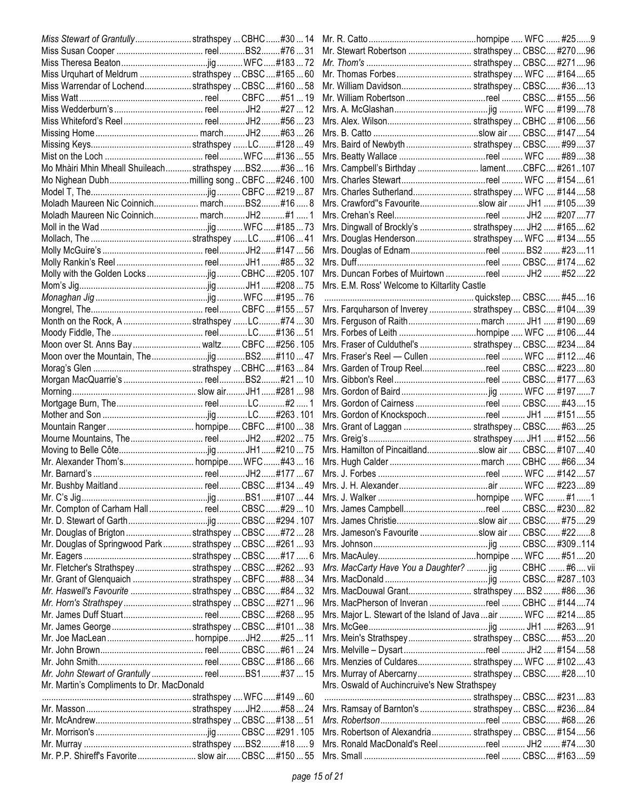|                                                            |  |  | Mr. Stewart Robertson  strathspey  CBSC #27096                |  |  |
|------------------------------------------------------------|--|--|---------------------------------------------------------------|--|--|
|                                                            |  |  |                                                               |  |  |
| Miss Urquhart of Meldrum  strathspey  CBSC  #165  60       |  |  |                                                               |  |  |
| Miss Warrendar of Lochendstrathspey  CBSC  #160  58        |  |  | Mr. William Davidson strathspey CBSC #3613                    |  |  |
|                                                            |  |  | Mr. William Robertson reel  CBSC #15556                       |  |  |
|                                                            |  |  |                                                               |  |  |
|                                                            |  |  |                                                               |  |  |
|                                                            |  |  |                                                               |  |  |
|                                                            |  |  | Mrs. Baird of Newbyth  strathspey  CBSC #9937                 |  |  |
|                                                            |  |  | Mrs. Beatty Wallace reel  WFC  #8938                          |  |  |
| Mo Mhàiri Mhin Mheall Shuileach strathspey BS2#36  16      |  |  | Mrs. Campbell's Birthday  lamentCBFC #261107                  |  |  |
|                                                            |  |  |                                                               |  |  |
|                                                            |  |  | Mrs. Charles Sutherland strathspey WFC  #14458                |  |  |
| Moladh Maureen Nic Coinnich marchBS2#16 8                  |  |  | Mrs. Crawford"s Favouriteslow air  JH1  #10539                |  |  |
| Moladh Maureen Nic Coinnich march JH2#1 1                  |  |  |                                                               |  |  |
|                                                            |  |  | Mrs. Dingwall of Brockly's  strathspey  JH2  #16562           |  |  |
|                                                            |  |  | Mrs. Douglas Henderson strathspey  WFC  #13455                |  |  |
|                                                            |  |  |                                                               |  |  |
|                                                            |  |  |                                                               |  |  |
|                                                            |  |  | Mrs. Duncan Forbes of Muirtown reel  JH2  #5222               |  |  |
|                                                            |  |  | Mrs. E.M. Ross' Welcome to Kiltarlity Castle                  |  |  |
|                                                            |  |  |                                                               |  |  |
|                                                            |  |  | Mrs. Farquharson of Inverey  strathspey  CBSC #10439          |  |  |
| Month on the Rock, A strathspey LC#74  30                  |  |  | Mrs. Ferguson of Raithmarch  JH1  #19069                      |  |  |
|                                                            |  |  |                                                               |  |  |
| Moon over St. Anns Bay waltz CBFC#256.105                  |  |  | Mrs. Fraser of Culduthel's  strathspey  CBSC #23484           |  |  |
|                                                            |  |  | Mrs. Fraser's Reel - Cullen reel  WFC  #11246                 |  |  |
|                                                            |  |  | Mrs. Garden of Troup Reelreel  CBSC #22380                    |  |  |
|                                                            |  |  |                                                               |  |  |
|                                                            |  |  |                                                               |  |  |
|                                                            |  |  | Mrs. Gordon of Cairness reel  CBSC #4315                      |  |  |
|                                                            |  |  |                                                               |  |  |
|                                                            |  |  | Mrs. Grant of Laggan  strathspey  CBSC #6325                  |  |  |
|                                                            |  |  |                                                               |  |  |
|                                                            |  |  | Mrs. Hamilton of Pincaitlandslow air  CBSC #10740             |  |  |
|                                                            |  |  |                                                               |  |  |
|                                                            |  |  |                                                               |  |  |
|                                                            |  |  |                                                               |  |  |
|                                                            |  |  |                                                               |  |  |
| Mr. Compton of Carham Hall reel CBSC#2910                  |  |  | Mrs. James Campbellreel  CBSC #23082                          |  |  |
|                                                            |  |  |                                                               |  |  |
| Mr. Douglas of Brigton strathspey  CBSC #72  28            |  |  | Mrs. Jameson's Favourite slow air  CBSC #228                  |  |  |
| Mr. Douglas of Springwood Park  strathspey  CBSC  #261  93 |  |  |                                                               |  |  |
|                                                            |  |  |                                                               |  |  |
| Mr. Fletcher's StrathspeystrathspeyCBSC#26293              |  |  | Mrs. MacCarty Have You a Daughter?  jig  CBHC  #6 vii         |  |  |
| Mr. Grant of Glenquaich strathspey  CBFC #88  34           |  |  |                                                               |  |  |
| Mr. Haswell's Favourite  strathspey  CBSC #84  32          |  |  | Mrs. MacDouwal Grant strathspey BS2 #8636                     |  |  |
| Mr. Horn's StrathspeystrathspeyCBSC#27196                  |  |  | Mrs. MacPherson of Inveran reel  CBHC  #14474                 |  |  |
|                                                            |  |  | Mrs. Major L. Stewart of the Island of Java  air  WFC  #21485 |  |  |
|                                                            |  |  |                                                               |  |  |
|                                                            |  |  | Mrs. Mein's Strathspey strathspey CBSC #5320                  |  |  |
|                                                            |  |  |                                                               |  |  |
|                                                            |  |  | Mrs. Menzies of Culdares strathspey  WFC  #10243              |  |  |
|                                                            |  |  | Mrs. Murray of Abercarny strathspey CBSC #2810                |  |  |
| Mr. Martin's Compliments to Dr. MacDonald                  |  |  | Mrs. Oswald of Auchincruive's New Strathspey                  |  |  |
|                                                            |  |  |                                                               |  |  |
|                                                            |  |  | Mrs. Ramsay of Barnton's  strathspey  CBSC #23684             |  |  |
|                                                            |  |  |                                                               |  |  |
|                                                            |  |  | Mrs. Robertson of Alexandria strathspey CBSC #15456           |  |  |
|                                                            |  |  |                                                               |  |  |
|                                                            |  |  | Mrs. Ronald MacDonald's Reelreel JH2  #7430                   |  |  |
| Mr. P.P. Shireff's Favorite  slow air CBSC #150  55        |  |  |                                                               |  |  |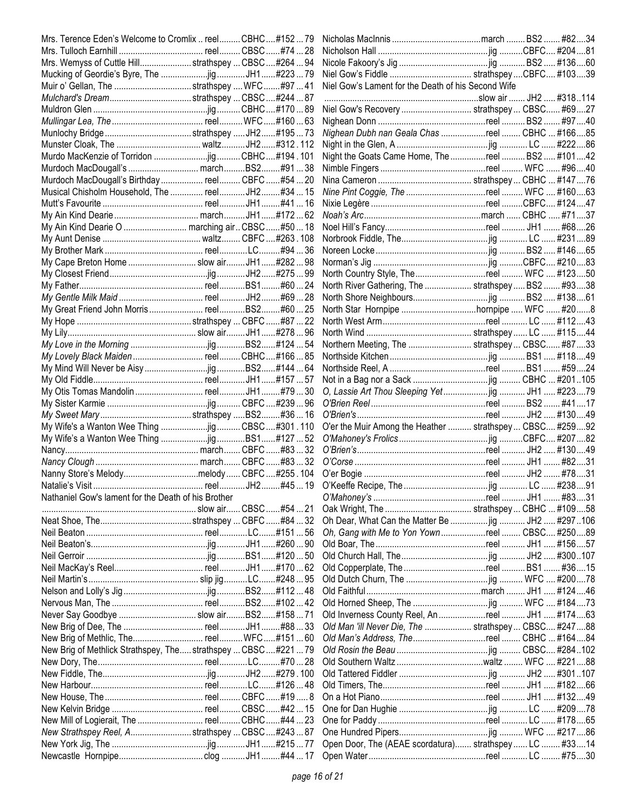| Mrs. Terence Eden's Welcome to Cromlix  reel CBHC#15279         |  |                                                          |  |  |
|-----------------------------------------------------------------|--|----------------------------------------------------------|--|--|
|                                                                 |  |                                                          |  |  |
| Mrs. Wemyss of Cuttle Hill strathspey  CBSC  #264  94           |  |                                                          |  |  |
| Mucking of Geordie's Byre, The jig  JH1#223  79                 |  |                                                          |  |  |
| Muir o' Gellan, The strathspey  WFC#97  41                      |  | Niel Gow's Lament for the Death of his Second Wife       |  |  |
|                                                                 |  |                                                          |  |  |
|                                                                 |  | Niel Gow's Recovery  strathspey  CBSC #6927              |  |  |
|                                                                 |  |                                                          |  |  |
|                                                                 |  | Nighean Dubh nan Geala Chas reel  CBHC  #16685           |  |  |
|                                                                 |  |                                                          |  |  |
|                                                                 |  | Night the Goats Came Home, The reel  BS2  #10142         |  |  |
| Murdoch MacDougall's  marchBS2#91  38                           |  |                                                          |  |  |
| Murdoch MacDougall's Birthday  reel CBFC #54  20                |  |                                                          |  |  |
| Musical Chisholm Household, The  reel JH2 #34  15               |  | Nine Pint Coggie, The reel  WFC  #16063                  |  |  |
|                                                                 |  |                                                          |  |  |
|                                                                 |  |                                                          |  |  |
|                                                                 |  |                                                          |  |  |
| My Ain Kind Dearie O  marching air CBSC #50  18                 |  |                                                          |  |  |
|                                                                 |  |                                                          |  |  |
|                                                                 |  |                                                          |  |  |
| My Cape Breton Home  slow air JH1#28298                         |  |                                                          |  |  |
|                                                                 |  | North Country Style, Thereel  WFC  #12350                |  |  |
|                                                                 |  | North River Gathering, The  strathspey  BS2  #9338       |  |  |
|                                                                 |  |                                                          |  |  |
|                                                                 |  |                                                          |  |  |
|                                                                 |  |                                                          |  |  |
|                                                                 |  |                                                          |  |  |
|                                                                 |  | Northern Meeting, The  strathspey  CBSC #87 33           |  |  |
| My Lovely Black Maiden  reel  CBHC  #166  85                    |  |                                                          |  |  |
|                                                                 |  |                                                          |  |  |
|                                                                 |  |                                                          |  |  |
|                                                                 |  |                                                          |  |  |
|                                                                 |  |                                                          |  |  |
|                                                                 |  |                                                          |  |  |
|                                                                 |  | O'er the Muir Among the Heather  strathspey  CBSC #25992 |  |  |
|                                                                 |  |                                                          |  |  |
|                                                                 |  |                                                          |  |  |
|                                                                 |  |                                                          |  |  |
| Nanny Store's Melodymelody CBFC#255.104                         |  |                                                          |  |  |
|                                                                 |  |                                                          |  |  |
| Nathaniel Gow's lament for the Death of his Brother             |  |                                                          |  |  |
|                                                                 |  |                                                          |  |  |
|                                                                 |  | Oh Dear, What Can the Matter Be  jig  JH2  #297106       |  |  |
|                                                                 |  | Oh, Gang with Me to Yon Yownreel CBSC #25089             |  |  |
|                                                                 |  |                                                          |  |  |
|                                                                 |  |                                                          |  |  |
|                                                                 |  |                                                          |  |  |
|                                                                 |  |                                                          |  |  |
|                                                                 |  |                                                          |  |  |
|                                                                 |  |                                                          |  |  |
| Never Say Goodbye  slow airBS2#158  71                          |  | Old Inverness County Reel, An reel  JH1  #17463          |  |  |
|                                                                 |  |                                                          |  |  |
|                                                                 |  | Old Man 'ill Never Die, The  strathspey  CBSC #24788     |  |  |
|                                                                 |  |                                                          |  |  |
| New Brig of Methlick Strathspey, The strathspey  CBSC  #221  79 |  |                                                          |  |  |
|                                                                 |  |                                                          |  |  |
|                                                                 |  |                                                          |  |  |
|                                                                 |  |                                                          |  |  |
|                                                                 |  |                                                          |  |  |
|                                                                 |  |                                                          |  |  |
| New Mill of Logierait, The  reel CBHC#44  23                    |  |                                                          |  |  |
| New Strathspey Reel, Astrathspey  CBSC  #243  87                |  |                                                          |  |  |
|                                                                 |  | Open Door, The (AEAE scordatura) strathspey  LC  #3314   |  |  |
|                                                                 |  |                                                          |  |  |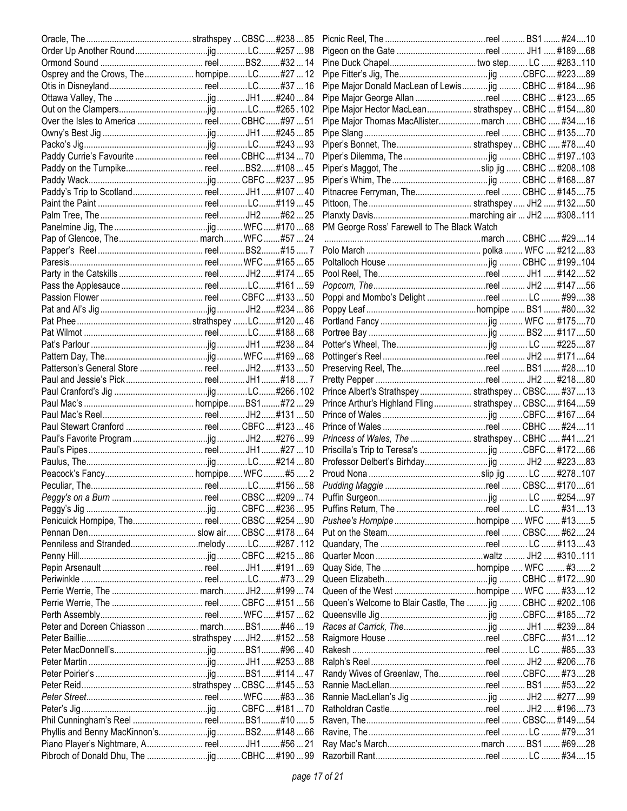|                                             |  | Pipe Major Donald MacLean of Lewis jig  CBHC  #18496     |  |  |
|---------------------------------------------|--|----------------------------------------------------------|--|--|
|                                             |  | Pipe Major George Allan reel  CBHC  #12365               |  |  |
|                                             |  | Pipe Major Hector MacLean strathspey  CBHC  #15480       |  |  |
|                                             |  | Pipe Major Thomas MacAllistermarch  CBHC  #3416          |  |  |
|                                             |  |                                                          |  |  |
|                                             |  | Piper's Bonnet, The strathspey CBHC  #7840               |  |  |
| Paddy Currie's Favourite  reel CBHC#134  70 |  |                                                          |  |  |
|                                             |  |                                                          |  |  |
|                                             |  |                                                          |  |  |
|                                             |  | Pitnacree Ferryman, Thereel  CBHC  #14575                |  |  |
|                                             |  |                                                          |  |  |
|                                             |  |                                                          |  |  |
|                                             |  | PM George Ross' Farewell to The Black Watch              |  |  |
|                                             |  |                                                          |  |  |
|                                             |  |                                                          |  |  |
|                                             |  |                                                          |  |  |
|                                             |  |                                                          |  |  |
|                                             |  |                                                          |  |  |
|                                             |  |                                                          |  |  |
|                                             |  |                                                          |  |  |
|                                             |  |                                                          |  |  |
|                                             |  |                                                          |  |  |
|                                             |  |                                                          |  |  |
|                                             |  |                                                          |  |  |
|                                             |  |                                                          |  |  |
|                                             |  |                                                          |  |  |
|                                             |  | Prince Albert's Strathspey strathspey CBSC #3713         |  |  |
|                                             |  | Prince Arthur's Highland Fling strathspey CBSC #16459    |  |  |
|                                             |  |                                                          |  |  |
|                                             |  |                                                          |  |  |
|                                             |  | Princess of Wales, The  strathspey  CBHC  #4121          |  |  |
|                                             |  |                                                          |  |  |
|                                             |  |                                                          |  |  |
|                                             |  |                                                          |  |  |
|                                             |  |                                                          |  |  |
|                                             |  |                                                          |  |  |
|                                             |  |                                                          |  |  |
|                                             |  |                                                          |  |  |
|                                             |  |                                                          |  |  |
|                                             |  |                                                          |  |  |
|                                             |  |                                                          |  |  |
|                                             |  |                                                          |  |  |
|                                             |  |                                                          |  |  |
|                                             |  |                                                          |  |  |
|                                             |  |                                                          |  |  |
|                                             |  | Queen's Welcome to Blair Castle, The  jig  CBHC  #202106 |  |  |
|                                             |  |                                                          |  |  |
|                                             |  |                                                          |  |  |
|                                             |  |                                                          |  |  |
|                                             |  |                                                          |  |  |
|                                             |  |                                                          |  |  |
|                                             |  | Randy Wives of Greenlaw, ThereelCBFC #7328               |  |  |
|                                             |  |                                                          |  |  |
|                                             |  |                                                          |  |  |
|                                             |  |                                                          |  |  |
|                                             |  |                                                          |  |  |
|                                             |  |                                                          |  |  |
|                                             |  |                                                          |  |  |
|                                             |  |                                                          |  |  |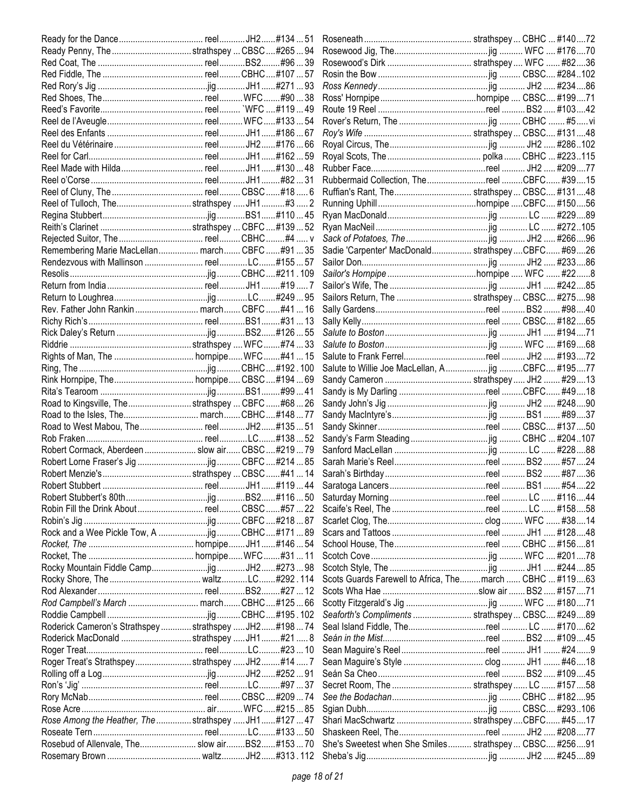|                                                         |  | Rubbermaid Collection, Thereel CBFC #3915                |  |  |
|---------------------------------------------------------|--|----------------------------------------------------------|--|--|
|                                                         |  |                                                          |  |  |
| Reel of Tulloch, Thestrathspey  JH1#3  2                |  |                                                          |  |  |
|                                                         |  |                                                          |  |  |
|                                                         |  |                                                          |  |  |
|                                                         |  |                                                          |  |  |
|                                                         |  |                                                          |  |  |
| Remembering Marie MacLellan march CBFC #9135            |  | Sadie 'Carpenter' MacDonald strathspeyCBFC #6926         |  |  |
|                                                         |  |                                                          |  |  |
|                                                         |  |                                                          |  |  |
|                                                         |  |                                                          |  |  |
|                                                         |  |                                                          |  |  |
| Rev. Father John Rankin  march CBFC #41  16             |  |                                                          |  |  |
|                                                         |  |                                                          |  |  |
|                                                         |  |                                                          |  |  |
|                                                         |  |                                                          |  |  |
|                                                         |  |                                                          |  |  |
|                                                         |  | Salute to Willie Joe MacLellan, Ajig CBFC #19577         |  |  |
|                                                         |  |                                                          |  |  |
|                                                         |  | Sandy is My Darling reel CBFC #4918                      |  |  |
| Road to Kingsville, The strathspey  CBFC #68  26        |  |                                                          |  |  |
|                                                         |  |                                                          |  |  |
|                                                         |  |                                                          |  |  |
|                                                         |  |                                                          |  |  |
| Robert Cormack, Aberdeen  slow air CBSC #219  79        |  |                                                          |  |  |
|                                                         |  |                                                          |  |  |
|                                                         |  |                                                          |  |  |
|                                                         |  |                                                          |  |  |
|                                                         |  |                                                          |  |  |
|                                                         |  |                                                          |  |  |
|                                                         |  |                                                          |  |  |
|                                                         |  |                                                          |  |  |
|                                                         |  |                                                          |  |  |
|                                                         |  |                                                          |  |  |
|                                                         |  |                                                          |  |  |
|                                                         |  | Scots Guards Farewell to Africa, The march  CBHC  #11963 |  |  |
|                                                         |  |                                                          |  |  |
|                                                         |  |                                                          |  |  |
|                                                         |  | Seaforth's Compliments  strathspey  CBSC #24989          |  |  |
| Roderick Cameron's Strathspey  strathspey  JH2 #198  74 |  |                                                          |  |  |
| Roderick MacDonald strathspey  JH1#21 8                 |  |                                                          |  |  |
|                                                         |  |                                                          |  |  |
| Roger Treat's StrathspeystrathspeyJH2#147               |  |                                                          |  |  |
|                                                         |  |                                                          |  |  |
|                                                         |  |                                                          |  |  |
|                                                         |  |                                                          |  |  |
|                                                         |  |                                                          |  |  |
|                                                         |  |                                                          |  |  |
| Rose Among the Heather, The  strathspey  JH1#127  47    |  |                                                          |  |  |
|                                                         |  |                                                          |  |  |
| Rosebud of Allenvale, The slow airBS2#15370             |  | She's Sweetest when She Smiles strathspey CBSC #25691    |  |  |
|                                                         |  |                                                          |  |  |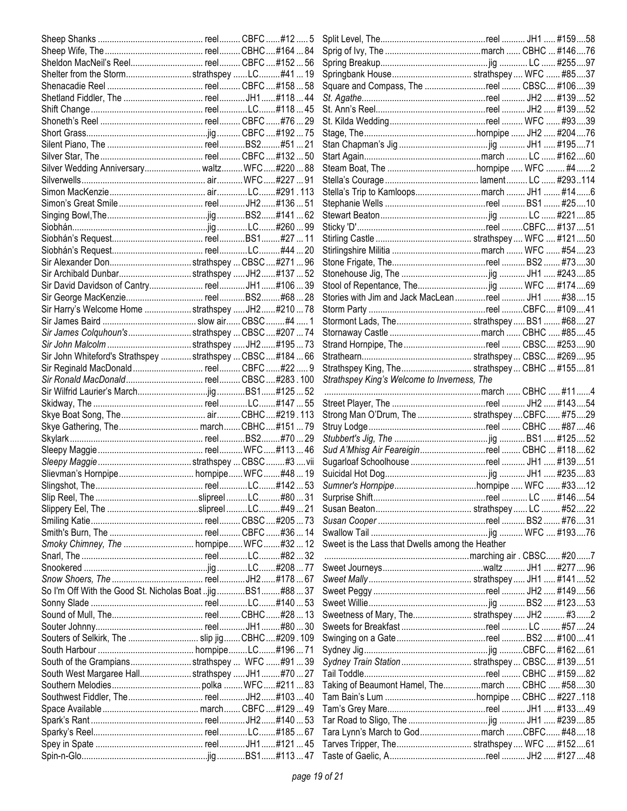| Sheldon MacNeil's Reel reel CBFC #152  56                   |  |                                                    |  |  |
|-------------------------------------------------------------|--|----------------------------------------------------|--|--|
| Shelter from the Stormstrathspey LC#4119                    |  |                                                    |  |  |
|                                                             |  | Square and Compass, The reel  CBSC #10639          |  |  |
|                                                             |  |                                                    |  |  |
|                                                             |  |                                                    |  |  |
|                                                             |  |                                                    |  |  |
|                                                             |  |                                                    |  |  |
|                                                             |  |                                                    |  |  |
|                                                             |  |                                                    |  |  |
| Silver Wedding Anniversary waltz WFC#22088                  |  |                                                    |  |  |
|                                                             |  |                                                    |  |  |
|                                                             |  | Stella's Trip to Kamloopsmarch  JH1  #146          |  |  |
|                                                             |  |                                                    |  |  |
|                                                             |  |                                                    |  |  |
|                                                             |  |                                                    |  |  |
|                                                             |  |                                                    |  |  |
|                                                             |  |                                                    |  |  |
|                                                             |  |                                                    |  |  |
|                                                             |  |                                                    |  |  |
| Sir Archibald Dunbarstrathspey  JH2#137  52                 |  |                                                    |  |  |
|                                                             |  |                                                    |  |  |
|                                                             |  | Stories with Jim and Jack MacLean reel  JH1  #3815 |  |  |
| Sir Harry's Welcome Home  strathspey  JH2 #210  78          |  |                                                    |  |  |
|                                                             |  | Stormont Lads, The strathspey  BS1  #6827          |  |  |
| Sir James Colquhoun'sstrathspey  CBSC  #207  74             |  |                                                    |  |  |
|                                                             |  | Strand Hornpipe, The reel  CBSC #25390             |  |  |
| Sir John Whiteford's Strathspey  strathspey  CBSC  #184  66 |  |                                                    |  |  |
| Sir Reginald MacDonald reel CBFC#22 9                       |  | Strathspey King, The strathspey CBHC  #15581       |  |  |
|                                                             |  | Strathspey King's Welcome to Inverness, The        |  |  |
|                                                             |  |                                                    |  |  |
|                                                             |  |                                                    |  |  |
|                                                             |  | Strong Man O'Drum, The  strathspey  CBFC #7529     |  |  |
|                                                             |  |                                                    |  |  |
|                                                             |  |                                                    |  |  |
|                                                             |  | Sud A'Mhisg Air Feareiginreel  CBHC  #11862        |  |  |
|                                                             |  |                                                    |  |  |
|                                                             |  |                                                    |  |  |
|                                                             |  |                                                    |  |  |
|                                                             |  |                                                    |  |  |
|                                                             |  |                                                    |  |  |
|                                                             |  |                                                    |  |  |
|                                                             |  |                                                    |  |  |
|                                                             |  | Sweet is the Lass that Dwells among the Heather    |  |  |
|                                                             |  |                                                    |  |  |
|                                                             |  |                                                    |  |  |
|                                                             |  |                                                    |  |  |
| So I'm Off With the Good St. Nicholas Boat jigBS1#8837      |  |                                                    |  |  |
|                                                             |  |                                                    |  |  |
|                                                             |  | Sweetness of Mary, The strathspey  JH2  #32        |  |  |
|                                                             |  |                                                    |  |  |
| Souters of Selkirk, The  slip jig CBHC#209.109              |  |                                                    |  |  |
|                                                             |  |                                                    |  |  |
| South of the Grampiansstrathspey  WFC #91  39               |  | Sydney Train Station  strathspey  CBSC #13951      |  |  |
| South West Margaree Hallstrathspey  JH1 #70  27             |  |                                                    |  |  |
|                                                             |  |                                                    |  |  |
|                                                             |  |                                                    |  |  |
|                                                             |  |                                                    |  |  |
|                                                             |  |                                                    |  |  |
|                                                             |  |                                                    |  |  |
|                                                             |  |                                                    |  |  |
|                                                             |  |                                                    |  |  |
|                                                             |  |                                                    |  |  |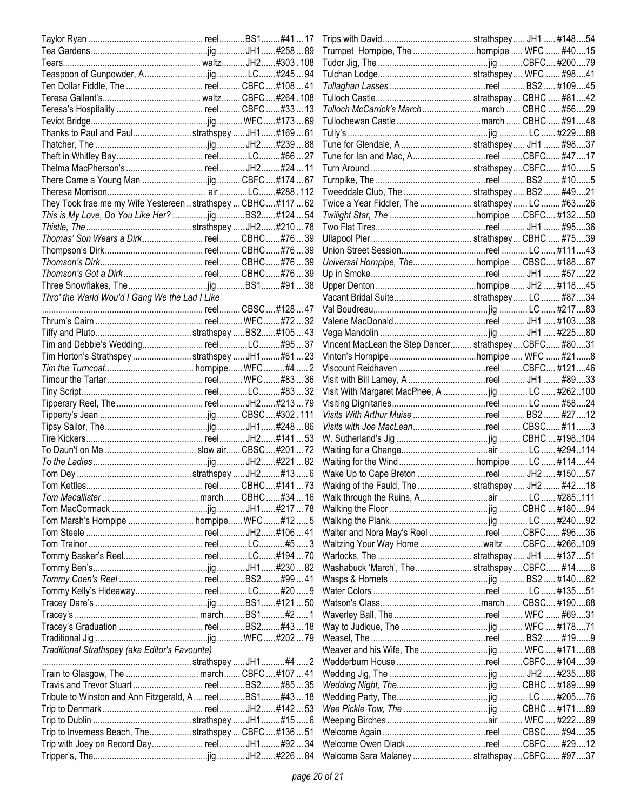|                                                                |  | Tulloch McCarrick's March march  CBHC  #5629           |  |        |     |
|----------------------------------------------------------------|--|--------------------------------------------------------|--|--------|-----|
|                                                                |  |                                                        |  |        |     |
| Thanks to Paul and Paulstrathspey  JH1#16961                   |  |                                                        |  |        |     |
|                                                                |  | Tune for Glendale, A  strathspey  JH1  #98 37          |  |        |     |
|                                                                |  | Tune for lan and Mac, Areel CBFC #4717                 |  |        |     |
|                                                                |  |                                                        |  |        |     |
|                                                                |  |                                                        |  |        |     |
|                                                                |  | Tweeddale Club, The  strathspey  BS2  #49 21           |  |        |     |
| They Took frae me my Wife Yestereen  strathspey  CBHC #117  62 |  | Twice a Year Fiddler, The  strathspey  LC  #6326       |  |        |     |
| This is My Love, Do You Like Her? jig BS2#12454                |  |                                                        |  |        |     |
|                                                                |  |                                                        |  |        |     |
| Thomas' Son Wears a Dirk reel CBHC#7639                        |  |                                                        |  |        |     |
|                                                                |  |                                                        |  |        |     |
|                                                                |  |                                                        |  |        |     |
|                                                                |  | Universal Hornpipe, Thehornpipe  CBSC #18867           |  |        |     |
|                                                                |  |                                                        |  |        |     |
|                                                                |  |                                                        |  |        |     |
| Thro' the Warld Wou'd I Gang We the Lad I Like                 |  |                                                        |  |        |     |
|                                                                |  |                                                        |  |        |     |
|                                                                |  |                                                        |  |        |     |
|                                                                |  |                                                        |  |        |     |
|                                                                |  | Vincent MacLean the Step Dancer strathspey  CBFC #8031 |  |        |     |
| Tim Horton's Strathspey strathspey JH1#6123                    |  |                                                        |  |        |     |
|                                                                |  |                                                        |  |        |     |
|                                                                |  | Visit with Bill Lamey, A reel  JH1  #89 33             |  |        |     |
|                                                                |  | Visit With Margaret MacPhee, A jig  LC  #262100        |  |        |     |
|                                                                |  |                                                        |  |        |     |
|                                                                |  |                                                        |  |        |     |
|                                                                |  |                                                        |  |        |     |
|                                                                |  |                                                        |  |        |     |
|                                                                |  |                                                        |  |        |     |
|                                                                |  |                                                        |  |        |     |
|                                                                |  |                                                        |  |        |     |
|                                                                |  | Waking of the Fauld, The  strathspey  JH2  #4218       |  |        |     |
|                                                                |  |                                                        |  |        |     |
|                                                                |  |                                                        |  |        |     |
| Tom Marsh's Hornpipe  hornpipe WFC#12 5                        |  |                                                        |  |        |     |
|                                                                |  | Walter and Nora May's Reel reel CBFC #9636             |  |        |     |
|                                                                |  | Waltzing Your Way Home waltz CBFC #266109              |  |        |     |
|                                                                |  |                                                        |  |        |     |
|                                                                |  | Washabuck 'March', The strathspeyCBFC #14              |  |        | . 6 |
|                                                                |  |                                                        |  |        |     |
|                                                                |  |                                                        |  | #13551 |     |
|                                                                |  |                                                        |  |        |     |
|                                                                |  |                                                        |  |        |     |
|                                                                |  |                                                        |  |        |     |
|                                                                |  |                                                        |  |        |     |
| Traditional Strathspey (aka Editor's Favourite)                |  |                                                        |  |        |     |
|                                                                |  |                                                        |  |        |     |
|                                                                |  |                                                        |  |        |     |
|                                                                |  |                                                        |  |        |     |
|                                                                |  |                                                        |  |        |     |
| Tribute to Winston and Ann Fitzgerald, A reelBS1#4318          |  |                                                        |  |        |     |
|                                                                |  |                                                        |  |        |     |
|                                                                |  |                                                        |  |        | 89  |
| Trip to Inverness Beach, The strathspey  CBFC  #136  51        |  |                                                        |  |        |     |
|                                                                |  |                                                        |  |        |     |
|                                                                |  | Welcome Sara Malaney  strathspey  CBFC #97  37         |  |        |     |